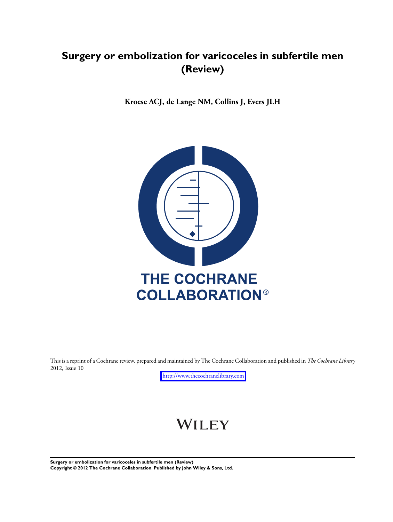# **Surgery or embolization for varicoceles in subfertile men (Review)**

**Kroese ACJ, de Lange NM, Collins J, Evers JLH**



This is a reprint of a Cochrane review, prepared and maintained by The Cochrane Collaboration and published in *The Cochrane Library* 2012, Issue 10

<http://www.thecochranelibrary.com>

# WILEY

**Surgery or embolization for varicoceles in subfertile men (Review) Copyright © 2012 The Cochrane Collaboration. Published by John Wiley & Sons, Ltd.**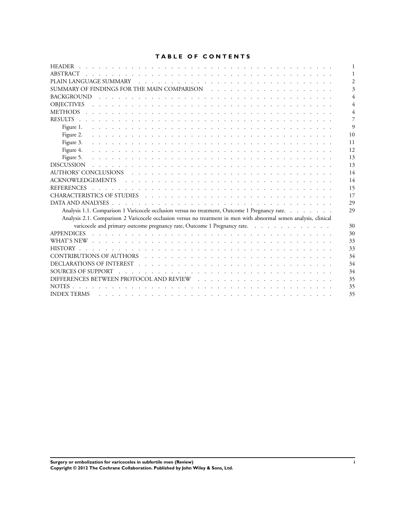# **TABLE OF CONTENTS**

| <b>HEADER</b>                                                                                                                          |
|----------------------------------------------------------------------------------------------------------------------------------------|
| <b>ABSTRACT</b><br>the contract of the contract of the contract of the contract of the contract of the contract of the contract of     |
|                                                                                                                                        |
|                                                                                                                                        |
| <b>BACKGROUND</b>                                                                                                                      |
| <b>OBJECTIVES</b>                                                                                                                      |
| <b>METHODS</b>                                                                                                                         |
|                                                                                                                                        |
| Figure 1.                                                                                                                              |
| Figure 2.                                                                                                                              |
| Figure 3.                                                                                                                              |
| Figure 4.                                                                                                                              |
| Figure 5.                                                                                                                              |
| <b>DISCUSSION</b>                                                                                                                      |
| <b>AUTHORS' CONCLUSIONS</b><br><u>. In the second contract of the second contract of the second contract of the second</u>             |
| <b>ACKNOWLEDGEMENTS</b>                                                                                                                |
| <b>REFERENCES</b><br>and a comparison of the comparison of the comparison of the comparison of the comparison of the comparison of     |
|                                                                                                                                        |
|                                                                                                                                        |
| Analysis 1.1. Comparison 1 Varicocele occlusion versus no treatment, Outcome 1 Pregnancy rate.                                         |
| Analysis 2.1. Comparison 2 Varicocele occlusion versus no treatment in men with abnormal semen analysis, clinical                      |
| varicocele and primary outcome pregnancy rate, Outcome 1 Pregnancy rate.                                                               |
| <b>APPENDICES</b>                                                                                                                      |
|                                                                                                                                        |
| HISTORY                                                                                                                                |
| CONTRIBUTIONS OF AUTHORS (et al., et al., et al., et al., et al., et al., et al., et al., et al., et al., et a                         |
|                                                                                                                                        |
| SOURCES OF SUPPORT<br>and the company of the company of the company of the company of the company of the company of the company of the |
| DIFFERENCES BETWEEN PROTOCOL AND REVIEW                                                                                                |
| <b>NOTES</b>                                                                                                                           |
| <b>INDEX TERMS</b>                                                                                                                     |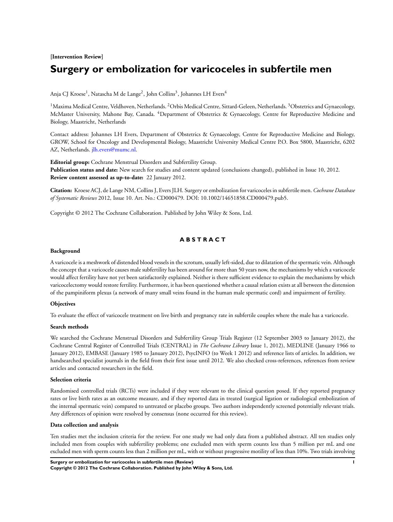### **[Intervention Review]**

# **Surgery or embolization for varicoceles in subfertile men**

Anja CJ Kroese<sup>1</sup>, Natascha M de Lange<sup>2</sup>, John Collins<sup>3</sup>, Johannes LH Evers<sup>4</sup>

<sup>1</sup> Maxima Medical Centre, Veldhoven, Netherlands. <sup>2</sup>Orbis Medical Centre, Sittard-Geleen, Netherlands. <sup>3</sup>Obstetrics and Gynaecology, McMaster University, Mahone Bay, Canada. <sup>4</sup>Department of Obstetrics & Gynaecology, Centre for Reproductive Medicine and Biology, Maastricht, Netherlands

Contact address: Johannes LH Evers, Department of Obstetrics & Gynaecology, Centre for Reproductive Medicine and Biology, GROW, School for Oncology and Developmental Biology, Maastricht University Medical Centre P.O. Box 5800, Maastricht, 6202 AZ, Netherlands. [jlh.evers@mumc.nl.](mailto:jlh.evers@mumc.nl)

**Editorial group:** Cochrane Menstrual Disorders and Subfertility Group. **Publication status and date:** New search for studies and content updated (conclusions changed), published in Issue 10, 2012. **Review content assessed as up-to-date:** 22 January 2012.

**Citation:** Kroese ACJ, de Lange NM, Collins J, Evers JLH. Surgery or embolization for varicoceles in subfertile men. *Cochrane Database of Systematic Reviews* 2012, Issue 10. Art. No.: CD000479. DOI: 10.1002/14651858.CD000479.pub5.

Copyright © 2012 The Cochrane Collaboration. Published by John Wiley & Sons, Ltd.

# **A B S T R A C T**

#### **Background**

A varicocele is a meshwork of distended blood vessels in the scrotum, usually left-sided, due to dilatation of the spermatic vein. Although the concept that a varicocele causes male subfertility has been around for more than 50 years now, the mechanisms by which a varicocele would affect fertility have not yet been satisfactorily explained. Neither is there sufficient evidence to explain the mechanisms by which varicocelectomy would restore fertility. Furthermore, it has been questioned whether a causal relation exists at all between the distension of the pampiniform plexus (a network of many small veins found in the human male spermatic cord) and impairment of fertility.

#### **Objectives**

To evaluate the effect of varicocele treatment on live birth and pregnancy rate in subfertile couples where the male has a varicocele.

#### **Search methods**

We searched the Cochrane Menstrual Disorders and Subfertility Group Trials Register (12 September 2003 to January 2012), the Cochrane Central Register of Controlled Trials (CENTRAL) in *The Cochrane Library* Issue 1, 2012), MEDLINE (January 1966 to January 2012), EMBASE (January 1985 to January 2012), PsycINFO (to Week 1 2012) and reference lists of articles. In addition, we handsearched specialist journals in the field from their first issue until 2012. We also checked cross-references, references from review articles and contacted researchers in the field.

#### **Selection criteria**

Randomised controlled trials (RCTs) were included if they were relevant to the clinical question posed. If they reported pregnancy rates or live birth rates as an outcome measure, and if they reported data in treated (surgical ligation or radiological embolization of the internal spermatic vein) compared to untreated or placebo groups. Two authors independently screened potentially relevant trials. Any differences of opinion were resolved by consensus (none occurred for this review).

#### **Data collection and analysis**

Ten studies met the inclusion criteria for the review. For one study we had only data from a published abstract. All ten studies only included men from couples with subfertility problems; one excluded men with sperm counts less than 5 million per mL and one excluded men with sperm counts less than 2 million per mL, with or without progressive motility of less than 10%. Two trials involving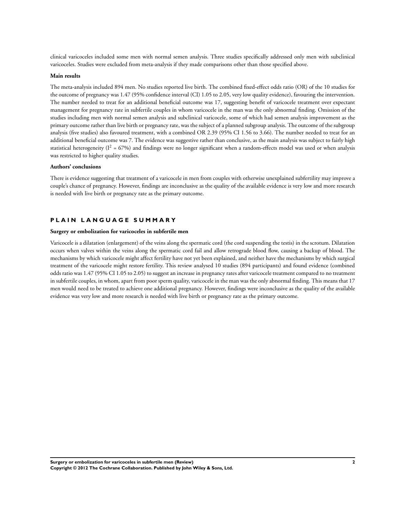clinical varicoceles included some men with normal semen analysis. Three studies specifically addressed only men with subclinical varicoceles. Studies were excluded from meta-analysis if they made comparisons other than those specified above.

#### **Main results**

The meta-analysis included 894 men. No studies reported live birth. The combined fixed-effect odds ratio (OR) of the 10 studies for the outcome of pregnancy was 1.47 (95% confidence interval (CI) 1.05 to 2.05, very low quality evidence), favouring the intervention. The number needed to treat for an additional beneficial outcome was 17, suggesting benefit of varicocele treatment over expectant management for pregnancy rate in subfertile couples in whom varicocele in the man was the only abnormal finding. Omission of the studies including men with normal semen analysis and subclinical varicocele, some of which had semen analysis improvement as the primary outcome rather than live birth or pregnancy rate, was the subject of a planned subgroup analysis. The outcome of the subgroup analysis (five studies) also favoured treatment, with a combined OR 2.39 (95% CI 1.56 to 3.66). The number needed to treat for an additional beneficial outcome was 7. The evidence was suggestive rather than conclusive, as the main analysis was subject to fairly high statistical heterogeneity ( $I^2$  = 67%) and findings were no longer significant when a random-effects model was used or when analysis was restricted to higher quality studies.

#### **Authors' conclusions**

There is evidence suggesting that treatment of a varicocele in men from couples with otherwise unexplained subfertility may improve a couple's chance of pregnancy. However, findings are inconclusive as the quality of the available evidence is very low and more research is needed with live birth or pregnancy rate as the primary outcome.

# **P L A I N L A N G U A G E S U M M A R Y**

#### **Surgery or embolization for varicoceles in subfertile men**

Varicocele is a dilatation (enlargement) of the veins along the spermatic cord (the cord suspending the testis) in the scrotum. Dilatation occurs when valves within the veins along the spermatic cord fail and allow retrograde blood flow, causing a backup of blood. The mechanisms by which varicocele might affect fertility have not yet been explained, and neither have the mechanisms by which surgical treatment of the varicocele might restore fertility. This review analysed 10 studies (894 participants) and found evidence (combined odds ratio was 1.47 (95% CI 1.05 to 2.05) to suggest an increase in pregnancy rates after varicocele treatment compared to no treatment in subfertile couples, in whom, apart from poor sperm quality, varicocele in the man was the only abnormal finding. This means that 17 men would need to be treated to achieve one additional pregnancy. However, findings were inconclusive as the quality of the available evidence was very low and more research is needed with live birth or pregnancy rate as the primary outcome.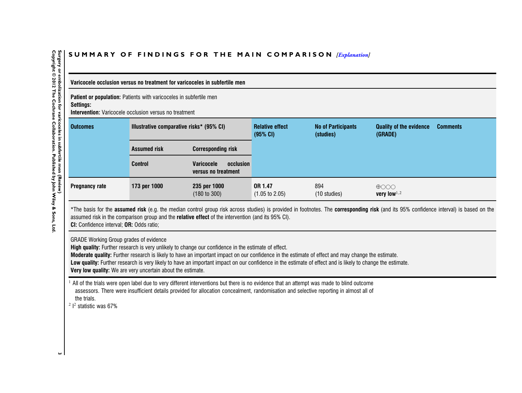# <span id="page-4-0"></span>SUMMARY OF FINDINGS FOR THE MAIN COMPARISON *[\[Explanation\]](http://www.thecochranelibrary.com/view/0/SummaryFindings.html)*

### **Varicocele occlusion versus no treatment for varicoceles in subfertile men**

**Patient or population:** Patients with varicoceles in subfertile men

#### **Settings:**

**Intervention:** Varicocele occlusion versus no treatment

| <b>Outcomes</b>       | Illustrative comparative risks* (95% CI) |                                                       | <b>Relative effect</b><br>(95% CI)   | <b>No of Participants</b><br>(studies) | <b>Quality of the evidence</b><br>(GRADE) | <b>Comments</b> |
|-----------------------|------------------------------------------|-------------------------------------------------------|--------------------------------------|----------------------------------------|-------------------------------------------|-----------------|
|                       | <b>Assumed risk</b>                      | <b>Corresponding risk</b>                             |                                      |                                        |                                           |                 |
|                       | <b>Control</b>                           | <b>Varicocele</b><br>occlusion<br>versus no treatment |                                      |                                        |                                           |                 |
| <b>Pregnancy rate</b> | 173 per 1000                             | 235 per 1000<br>$(180 \text{ to } 300)$               | OR 1.47<br>$(1.05 \text{ to } 2.05)$ | 894<br>(10 studies)                    | $\bigoplus$ OOO<br>very low $1,2$         |                 |

\*The basis for the **assumed risk** (e.g. the median control group risk across studies) is provided in footnotes. The **corresponding risk** (and its 95% confidence interval) is based on the assumed risk in the comparison group and the **relative effect** of the intervention (and its 95% CI).

**CI:** Confidence interval; **OR:** Odds ratio;

GRADE Working Group grades of evidence

**High quality:** Further research is very unlikely to change our confidence in the estimate of effect.

**Moderate quality:** Further research is likely to have an important impact on our confidence in the estimate of effect and may change the estimate.

Low **quality:** Further research is very likely to have an important impact on our confidence in the estimate of effect and is likely to change the estimate.

**Very low quality:** We are very uncertain about the estimate.

 $1$  All of the trials were open label due to very different interventions but there is no evidence that an attempt was made to blind outcome assessors. There were insufficient details provided for allocation concealment, randomisation and selective reporting in almost all of the trials.

<sup>2</sup>  $l^2$  statistic was 67% I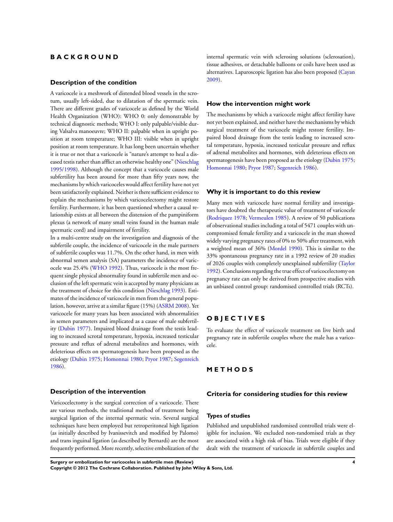# **B A C K G R O U N D**

#### **Description of the condition**

A varicocele is a meshwork of distended blood vessels in the scrotum, usually left-sided, due to dilatation of the spermatic vein. There are different grades of varicocele as defined by the World Health Organization (WHO): WHO 0: only demonstrable by technical diagnostic methods; WHO I: only palpable/visible during Valsalva manoeuvre; WHO II: palpable when in upright position at room temperature; WHO III: visible when in upright position at room temperature. It has long been uncertain whether it is true or not that a varicocele is "nature's attempt to heal a diseased testis rather than afflict an otherwise healthy one" [\(Nieschlag](#page-16-0) [1995/1998](#page-16-0)). Although the concept that a varicocele causes male subfertility has been around for more than fifty years now, the mechanisms by which varicoceles would affect fertility have not yet been satisfactorily explained. Neither is there sufficient evidence to explain the mechanisms by which varicocelectomy might restore fertility. Furthermore, it has been questioned whether a causal relationship exists at all between the distension of the pampiniform plexus (a network of many small veins found in the human male spermatic cord) and impairment of fertility.

In a multi-centre study on the investigation and diagnosis of the subfertile couple, the incidence of varicocele in the male partners of subfertile couples was 11.7%. On the other hand, in men with abnormal semen analysis (SA) parameters the incidence of varicocele was 25.4% [\(WHO 1992\)](#page-16-0). Thus, varicocele is the most frequent single physical abnormality found in subfertile men and occlusion of the left spermatic vein is accepted by many physicians as the treatment of choice for this condition [\(Nieschlag 1993\)](#page-16-0). Estimates of the incidence of varicocele in men from the general population, however, arrive at a similar figure (15%) ([ASRM 2008\)](#page-16-0). Yet varicocele for many years has been associated with abnormalities in semen parameters and implicated as a cause of male subfertility ([Dubin 1977](#page-16-0)). Impaired blood drainage from the testis leading to increased scrotal temperature, hypoxia, increased testicular pressure and reflux of adrenal metabolites and hormones, with deleterious effects on spermatogenesis have been proposed as the etiology ([Dubin 1975](#page-16-0); [Homonnai 1980;](#page-16-0) [Pryor 1987](#page-16-0); [Segenreich](#page-16-0) [1986](#page-16-0)).

#### **Description of the intervention**

Varicocelectomy is the surgical correction of a varicocele. There are various methods, the traditional method of treatment being surgical ligation of the internal spermatic vein. Several surgical techniques have been employed but retroperitoneal high ligation (as initially described by Ivanissevitch and modified by Palomo) and trans inguinal ligation (as described by Bernardi) are the most frequently performed. More recently, selective embolization of the internal spermatic vein with sclerosing solutions (sclerosation), tissue adhesives, or detachable balloons or coils have been used as alternatives. Laparoscopic ligation has also been proposed ([Cayan](#page-16-0) [2009](#page-16-0)).

#### **How the intervention might work**

The mechanisms by which a varicocele might affect fertility have not yet been explained, and neither have the mechanisms by which surgical treatment of the varicocele might restore fertility. Impaired blood drainage from the testis leading to increased scrotal temperature, hypoxia, increased testicular pressure and reflux of adrenal metabolites and hormones, with deleterious effects on spermatogenesis have been proposed as the etiology [\(Dubin 1975;](#page-16-0) [Homonnai 1980;](#page-16-0) [Pryor 1987;](#page-16-0) [Segenreich 1986](#page-16-0)).

#### **Why it is important to do this review**

Many men with varicocele have normal fertility and investigators have doubted the therapeutic value of treatment of varicocele [\(Rodriquez 1978](#page-16-0); [Vermeulen 1985\)](#page-16-0). A review of 50 publications of observational studies including a total of 5471 couples with uncompromised female fertility and a varicocele in the man showed widely varying pregnancy rates of 0% to 50% after treatment, with a weighted mean of 36% ([Mordel 1990](#page-16-0)). This is similar to the 33% spontaneous pregnancy rate in a 1992 review of 20 studies of 2026 couples with completely unexplained subfertility [\(Taylor](#page-16-0) [1992](#page-16-0)). Conclusions regarding the true effect of varicocelectomy on pregnancy rate can only be derived from prospective studies with an unbiased control group: randomised controlled trials (RCTs).

# **O B J E C T I V E S**

To evaluate the effect of varicocele treatment on live birth and pregnancy rate in subfertile couples where the male has a varicocele.

#### **M E T H O D S**

#### **Criteria for considering studies for this review**

#### **Types of studies**

Published and unpublished randomised controlled trials were eligible for inclusion. We excluded non-randomised trials as they are associated with a high risk of bias. Trials were eligible if they dealt with the treatment of varicocele in subfertile couples and

**Surgery or embolization for varicoceles in subfertile men (Review) 4 Copyright © 2012 The Cochrane Collaboration. Published by John Wiley & Sons, Ltd.**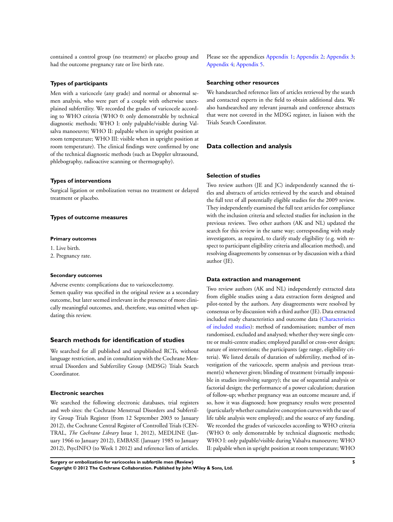contained a control group (no treatment) or placebo group and had the outcome pregnancy rate or live birth rate.

### **Types of participants**

Men with a varicocele (any grade) and normal or abnormal semen analysis, who were part of a couple with otherwise unexplained subfertility. We recorded the grades of varicocele according to WHO criteria (WHO 0: only demonstrable by technical diagnostic methods; WHO I: only palpable/visible during Valsalva manoeuvre; WHO II: palpable when in upright position at room temperature; WHO III: visible when in upright position at room temperature). The clinical findings were confirmed by one of the technical diagnostic methods (such as Doppler ultrasound, phlebography, radioactive scanning or thermography).

#### **Types of interventions**

Surgical ligation or embolization versus no treatment or delayed treatment or placebo.

#### **Types of outcome measures**

#### **Primary outcomes**

1. Live birth.

2. Pregnancy rate.

#### **Secondary outcomes**

Adverse events: complications due to varicocelectomy. Semen quality was specified in the original review as a secondary outcome, but later seemed irrelevant in the presence of more clinically meaningful outcomes, and, therefore, was omitted when updating this review.

#### **Search methods for identification of studies**

We searched for all published and unpublished RCTs, without language restriction, and in consultation with the Cochrane Menstrual Disorders and Subfertility Group (MDSG) Trials Search Coordinator.

#### **Electronic searches**

We searched the following electronic databases, trial registers and web sites: the Cochrane Menstrual Disorders and Subfertility Group Trials Register (from 12 September 2003 to January 2012), the Cochrane Central Register of Controlled Trials (CEN-TRAL, *The Cochrane Library* Issue 1, 2012), MEDLINE (January 1966 to January 2012), EMBASE (January 1985 to January 2012), PsycINFO (to Week 1 2012) and reference lists of articles. Please see the appendices [Appendix 1](#page-32-0); [Appendix 2](#page-32-0); [Appendix 3;](#page-33-0) [Appendix 4;](#page-34-0) [Appendix 5.](#page-34-0)

#### **Searching other resources**

We handsearched reference lists of articles retrieved by the search and contacted experts in the field to obtain additional data. We also handsearched any relevant journals and conference abstracts that were not covered in the MDSG register, in liaison with the Trials Search Coordinator.

#### **Data collection and analysis**

#### **Selection of studies**

Two review authors (JE and JC) independently scanned the titles and abstracts of articles retrieved by the search and obtained the full text of all potentially eligible studies for the 2009 review. They independently examined the full text articles for compliance with the inclusion criteria and selected studies for inclusion in the previous reviews. Two other authors (AK and NL) updated the search for this review in the same way; corresponding with study investigators, as required, to clarify study eligibility (e.g. with respect to participant eligibility criteria and allocation method), and resolving disagreements by consensus or by discussion with a third author (JE).

#### **Data extraction and management**

Two review authors (AK and NL) independently extracted data from eligible studies using a data extraction form designed and pilot-tested by the authors. Any disagreements were resolved by consensus or by discussion with a third author (JE). Data extracted included study characteristics and outcome data [\(Characteristics](#page-19-0) [of included studies\)](#page-19-0): method of randomisation; number of men randomised, excluded and analysed; whether they were single centre or multi-centre studies; employed parallel or cross-over design; nature of interventions; the participants (age range, eligibility criteria). We listed details of duration of subfertility, method of investigation of the varicocele, sperm analysis and previous treatment(s) whenever given; blinding of treatment (virtually impossible in studies involving surgery); the use of sequential analysis or factorial design; the performance of a power calculation; duration of follow-up; whether pregnancy was an outcome measure and, if so, how it was diagnosed; how pregnancy results were presented (particularly whether cumulative conception curves with the use of life table analysis were employed); and the source of any funding. We recorded the grades of varicoceles according to WHO criteria (WHO 0: only demonstrable by technical diagnostic methods; WHO I: only palpable/visible during Valsalva manoeuvre; WHO II: palpable when in upright position at room temperature; WHO

**Surgery or embolization for varicoceles in subfertile men (Review) 5 Copyright © 2012 The Cochrane Collaboration. Published by John Wiley & Sons, Ltd.**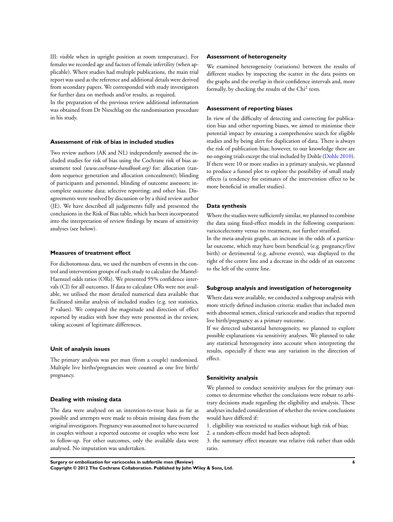III: visible when in upright position at room temperature). For females we recorded age and factors of female infertility (when applicable). Where studies had multiple publications, the main trial report was used as the reference and additional details were derived from secondary papers. We corresponded with study investigators for further data on methods and/or results, as required.

In the preparation of the previous review additional information was obtained from Dr Nieschlag on the randomisation procedure in his study.

#### **Assessment of risk of bias in included studies**

Two review authors (AK and NL) independently assessed the included studies for risk of bias using the Cochrane risk of bias assessment tool *(www.cochrane-handbook.org)* for: allocation (random sequence generation and allocation concealment); blinding of participants and personnel, blinding of outcome assessors; incomplete outcome data; selective reporting; and other bias. Disagreements were resolved by discussion or by a third review author (JE). We have described all judgements fully and presented the conclusions in the Risk of Bias table, which has been incorporated into the interpretation of review findings by means of sensitivity analyses (see below).

#### **Measures of treatment effect**

For dichotomous data, we used the numbers of events in the control and intervention groups of each study to calculate the Mantel-Haenszel odds ratios (ORs). We presented 95% confidence intervals (CI) for all outcomes. If data to calculate ORs were not available, we utilised the most detailed numerical data available that facilitated similar analysis of included studies (e.g. test statistics, P values). We compared the magnitude and direction of effect reported by studies with how they were presented in the review, taking account of legitimate differences.

#### **Unit of analysis issues**

The primary analysis was per man (from a couple) randomised. Multiple live births/pregnancies were counted as one live birth/ pregnancy.

#### **Dealing with missing data**

The data were analysed on an intention-to-treat basis as far as possible and attempts were made to obtain missing data from the original investigators. Pregnancy was assumed not to have occurred in couples without a reported outcome or couples who were lost to follow-up. For other outcomes, only the available data were analysed. No imputation was undertaken.

#### **Assessment of heterogeneity**

We examined heterogeneity (variations) between the results of different studies by inspecting the scatter in the data points on the graphs and the overlap in their confidence intervals and, more formally, by checking the results of the Chi<sup>2</sup> tests.

### **Assessment of reporting biases**

In view of the difficulty of detecting and correcting for publication bias and other reporting biases, we aimed to minimise their potential impact by ensuring a comprehensive search for eligible studies and by being alert for duplication of data. There is always the risk of publication bias; however, to our knowledge there are no ongoing trials except the trial included by Dohle ([Dohle 2010](#page-16-0)). If there were 10 or more studies in a primary analysis, we planned to produce a funnel plot to explore the possibility of small study effects (a tendency for estimates of the intervention effect to be more beneficial in smaller studies).

### **Data synthesis**

Where the studies were sufficiently similar, we planned to combine the data using fixed-effect models in the following comparison: varicocelectomy versus no treatment, not further stratified.

In the meta-analysis graphs, an increase in the odds of a particular outcome, which may have been beneficial (e.g. pregnancy/live birth) or detrimental (e.g. adverse events), was displayed to the right of the centre line and a decrease in the odds of an outcome to the left of the centre line.

#### **Subgroup analysis and investigation of heterogeneity**

Where data were available, we conducted a subgroup analysis with more strictly defined inclusion criteria: studies that included men with abnormal semen, clinical varicocele and studies that reported live birth/pregnancy as a primary outcome.

If we detected substantial heterogeneity, we planned to explore possible explanations via sensitivity analyses. We planned to take any statistical heterogeneity into account when interpreting the results, especially if there was any variation in the direction of effect.

### **Sensitivity analysis**

We planned to conduct sensitivity analyses for the primary outcomes to determine whether the conclusions were robust to arbitrary decisions made regarding the eligibility and analysis. These analyses included consideration of whether the review conclusions would have differed if:

- 1. eligibility was restricted to studies without high risk of bias;
- 2. a random-effects model had been adopted;

3. the summary effect measure was relative risk rather than odds ratio.

**Surgery or embolization for varicoceles in subfertile men (Review) 6 Copyright © 2012 The Cochrane Collaboration. Published by John Wiley & Sons, Ltd.**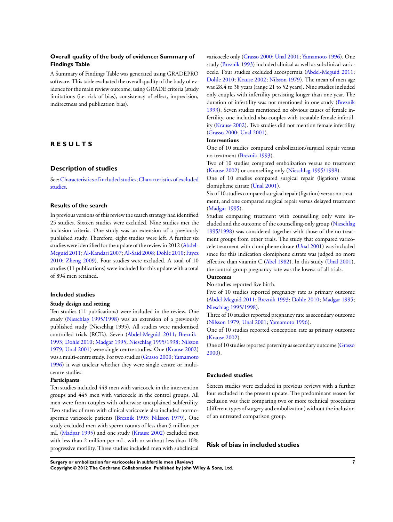## **Overall quality of the body of evidence: Summary of Findings Table**

A Summary of Findings Table was generated using GRADEPRO software. This table evaluated the overall quality of the body of evidence for the main review outcome, using GRADE criteria (study limitations (i.e. risk of bias), consistency of effect, imprecision, indirectness and publication bias).

### **R E S U L T S**

#### **Description of studies**

See:[Characteristics of included studies;](#page-19-0)[Characteristics of excluded](#page-28-0) [studies.](#page-28-0)

### **Results of the search**

In previous versions of this review the search strategy had identified 25 studies. Sixteen studies were excluded. Nine studies met the inclusion criteria. One study was an extension of a previously published study. Therefore, eight studies were left. A further six studies were identified for the update of the review in 2012 [\(Abdel-](#page-16-0)[Meguid 2011;](#page-16-0) [Al-Kandari 2007;](#page-16-0) [Al-Said 2008;](#page-16-0) [Dohle 2010;](#page-16-0) [Fayez](#page-16-0) [2010](#page-16-0); [Zheng 2009\)](#page-16-0). Four studies were excluded. A total of 10 studies (11 publications) were included for this update with a total of 894 men retained.

#### **Included studies**

#### **Study design and setting**

Ten studies (11 publications) were included in the review. One study [\(Nieschlag 1995/1998\)](#page-16-0) was an extension of a previously published study (Nieschlag 1995). All studies were randomised controlled trials (RCTs). Seven [\(Abdel-Meguid 2011](#page-16-0); [Breznik](#page-16-0) [1993](#page-16-0); [Dohle 2010](#page-16-0); [Madgar 1995;](#page-16-0) [Nieschlag 1995/1998;](#page-16-0) [Nilsson](#page-16-0) [1979](#page-16-0); [Unal 2001](#page-16-0)) were single centre studies. One [\(Krause 2002](#page-16-0)) was a multi-centre study. For two studies ([Grasso 2000](#page-16-0); [Yamamoto](#page-16-0) [1996](#page-16-0)) it was unclear whether they were single centre or multicentre studies.

#### **Participants**

Ten studies included 449 men with varicocele in the intervention groups and 445 men with varicocele in the control groups. All men were from couples with otherwise unexplained subfertility. Two studies of men with clinical varicocele also included normospermic varicocele patients ([Breznik 1993;](#page-16-0) [Nilsson 1979](#page-16-0)). One study excluded men with sperm counts of less than 5 million per mL ([Madgar 1995](#page-16-0)) and one study ([Krause 2002](#page-16-0)) excluded men with less than 2 million per mL, with or without less than 10% progressive motility. Three studies included men with subclinical varicocele only [\(Grasso 2000](#page-16-0); [Unal 2001;](#page-16-0) [Yamamoto 1996\)](#page-16-0). One study ([Breznik 1993\)](#page-16-0) included clinical as well as subclinical varicocele. Four studies excluded azoospermia ([Abdel-Meguid 2011;](#page-16-0) [Dohle 2010](#page-16-0); [Krause 2002;](#page-16-0) [Nilsson 1979\)](#page-16-0). The mean of men age was 28.4 to 38 years (range 21 to 52 years). Nine studies included only couples with infertility persisting longer than one year. The duration of infertility was not mentioned in one study ([Breznik](#page-16-0) [1993](#page-16-0)). Seven studies mentioned no obvious causes of female infertility, one included also couples with treatable female infertility [\(Krause 2002](#page-16-0)). Two studies did not mention female infertility [\(Grasso 2000;](#page-16-0) [Unal 2001](#page-16-0)).

### **Interventions**

One of 10 studies compared embolization/surgical repair versus no treatment [\(Breznik 1993](#page-16-0)).

Two of 10 studies compared embolization versus no treatment [\(Krause 2002](#page-16-0)) or counselling only ([Nieschlag 1995/1998\)](#page-16-0).

One of 10 studies compared surgical repair (ligation) versus clomiphene citrate ([Unal 2001](#page-16-0)).

Six of 10 studies compared surgical repair (ligation) versus no treatment, and one compared surgical repair versus delayed treatment [\(Madgar 1995](#page-16-0)).

Studies comparing treatment with counselling only were included and the outcome of the counselling-only group [\(Nieschlag](#page-16-0) [1995/1998](#page-16-0)) was considered together with those of the no-treatment groups from other trials. The study that compared varicocele treatment with clomiphene citrate [\(Unal 2001](#page-16-0)) was included since for this indication clomiphene citrate was judged no more effective than vitamin C ([Abel 1982\)](#page-16-0). In this study ([Unal 2001](#page-16-0)), the control group pregnancy rate was the lowest of all trials.

#### **Outcomes**

No studies reported live birth.

Five of 10 studies reported pregnancy rate as primary outcome [\(Abdel-Meguid 2011;](#page-16-0) [Breznik 1993;](#page-16-0) [Dohle 2010](#page-16-0); [Madgar 1995;](#page-16-0) [Nieschlag 1995/1998](#page-16-0)).

Three of 10 studies reported pregnancy rate as secondary outcome [\(Nilsson 1979;](#page-16-0) [Unal 2001](#page-16-0); [Yamamoto 1996\)](#page-16-0).

One of 10 studies reported conception rate as primary outcome [\(Krause 2002](#page-16-0)).

One of 10 studies reported paternity as secondary outcome [\(Grasso](#page-16-0) [2000](#page-16-0)).

#### **Excluded studies**

Sixteen studies were excluded in previous reviews with a further four excluded in the present update. The predominant reason for exclusion was their comparing two or more technical procedures (different types of surgery and embolization) without the inclusion of an untreated comparison group.

#### **Risk of bias in included studies**

**Surgery or embolization for varicoceles in subfertile men (Review) 7**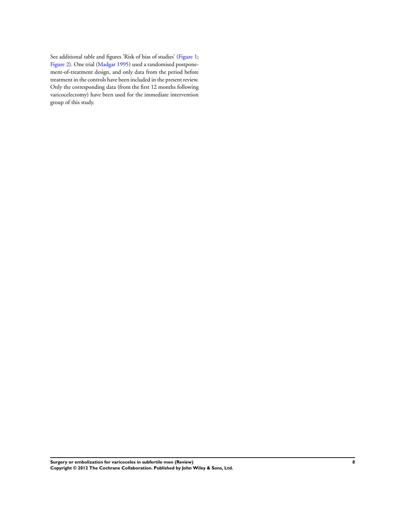See additional table and figures 'Risk of bias of studies' [\(Figure 1;](#page-10-0) [Figure 2\)](#page-11-0). One trial [\(Madgar 1995](#page-16-0)) used a randomised postponement-of-treatment design, and only data from the period before treatment in the controls have been included in the present review. Only the corresponding data (from the first 12 months following varicocelectomy) have been used for the immediate intervention group of this study.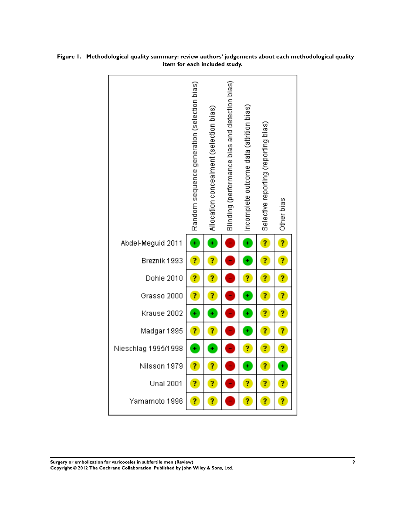

<span id="page-10-0"></span>**Figure 1. Methodological quality summary: review authors' judgements about each methodological quality item for each included study.**

**Surgery or embolization for varicoceles in subfertile men (Review) 9**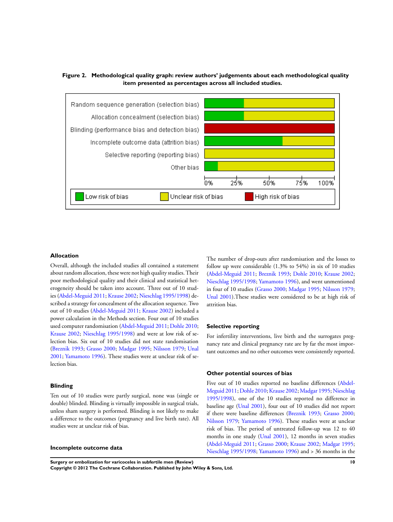<span id="page-11-0"></span>**Figure 2. Methodological quality graph: review authors' judgements about each methodological quality item presented as percentages across all included studies.**



# **Allocation**

Overall, although the included studies all contained a statement about random allocation, these were not high quality studies. Their poor methodological quality and their clinical and statistical heterogeneity should be taken into account. Three out of 10 studies ([Abdel-Meguid 2011;](#page-16-0) [Krause 2002](#page-16-0); [Nieschlag 1995/1998\)](#page-16-0) described a strategy for concealment of the allocation sequence. Two out of 10 studies [\(Abdel-Meguid 2011;](#page-16-0) [Krause 2002\)](#page-16-0) included a power calculation in the Methods section. Four out of 10 studies used computer randomisation ([Abdel-Meguid 2011;](#page-16-0) [Dohle 2010;](#page-16-0) [Krause 2002;](#page-16-0) [Nieschlag 1995/1998\)](#page-16-0) and were at low risk of selection bias. Six out of 10 studies did not state randomisation [\(Breznik 1993](#page-16-0); [Grasso 2000](#page-16-0); [Madgar 1995;](#page-16-0) [Nilsson 1979](#page-16-0); [Unal](#page-16-0) [2001](#page-16-0); [Yamamoto 1996\)](#page-16-0). These studies were at unclear risk of selection bias.

#### **Blinding**

Ten out of 10 studies were partly surgical, none was (single or double) blinded. Blinding is virtually impossible in surgical trials, unless sham surgery is performed. Blinding is not likely to make a difference to the outcomes (pregnancy and live birth rate). All studies were at unclear risk of bias.

#### **Incomplete outcome data**

The number of drop-outs after randomisation and the losses to follow up were considerable (1.3% to 54%) in six of 10 studies [\(Abdel-Meguid 2011](#page-16-0); [Breznik 1993](#page-16-0); [Dohle 2010;](#page-16-0) [Krause 2002;](#page-16-0) [Nieschlag 1995/1998;](#page-16-0) [Yamamoto 1996\)](#page-16-0), and went unmentioned in four of 10 studies [\(Grasso 2000;](#page-16-0) [Madgar 1995;](#page-16-0) [Nilsson 1979;](#page-16-0) [Unal 2001](#page-16-0)).These studies were considered to be at high risk of attrition bias.

#### **Selective reporting**

For infertility interventions, live birth and the surrogates pregnancy rate and clinical pregnancy rate are by far the most important outcomes and no other outcomes were consistently reported.

#### **Other potential sources of bias**

Five out of 10 studies reported no baseline differences ([Abdel-](#page-16-0)Meguid 2011; Dohle 2010; Krause 2002; Madgar 1995; Nieschlag [1995/1998](#page-16-0)), one of the 10 studies reported no difference in baseline age ([Unal 2001\)](#page-16-0), four out of 10 studies did not report if there were baseline differences ([Breznik 1993](#page-16-0); [Grasso 2000;](#page-16-0) [Nilsson 1979;](#page-16-0) [Yamamoto 1996\)](#page-16-0). These studies were at unclear risk of bias. The period of untreated follow-up was 12 to 40 months in one study ([Unal 2001](#page-16-0)), 12 months in seven studies [\(Abdel-Meguid 2011;](#page-16-0) [Grasso 2000](#page-16-0); [Krause 2002;](#page-16-0) [Madgar 1995;](#page-16-0) [Nieschlag 1995/1998](#page-16-0); [Yamamoto 1996](#page-16-0)) and > 36 months in the

**Surgery or embolization for varicoceles in subfertile men (Review) 10 Copyright © 2012 The Cochrane Collaboration. Published by John Wiley & Sons, Ltd.**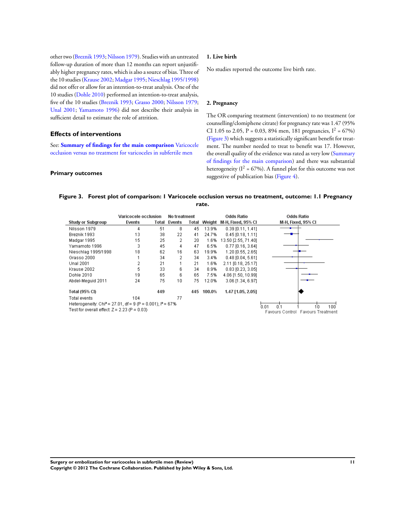other two [\(Breznik 1993](#page-16-0); [Nilsson 1979\)](#page-16-0). Studies with an untreated follow-up duration of more than 12 months can report unjustifiably higher pregnancy rates, which is also a source of bias. Three of the 10 studies ([Krause 2002](#page-16-0); [Madgar 1995](#page-16-0); [Nieschlag 1995/1998](#page-16-0)) did not offer or allow for an intention-to-treat analysis. One of the 10 studies [\(Dohle 2010\)](#page-16-0) performed an intention-to-treat analysis, five of the 10 studies ([Breznik 1993;](#page-16-0) [Grasso 2000;](#page-16-0) [Nilsson 1979;](#page-16-0) [Unal 2001](#page-16-0); [Yamamoto 1996](#page-16-0)) did not describe their analysis in sufficient detail to estimate the role of attrition.

### **Effects of interventions**

See: **[Summary of findings for the main comparison](#page-4-0)** [Varicocele](#page-4-0) [occlusion versus no treatment for varicoceles in subfertile men](#page-4-0)

### **Primary outcomes**

#### **1. Live birth**

No studies reported the outcome live birth rate.

#### **2. Pregnancy**

The OR comparing treatment (intervention) to no treatment (or counselling/clomiphene citrate) for pregnancy rate was 1.47 (95% CI 1.05 to 2.05, P = 0.03, 894 men, 181 pregnancies,  $I^2 = 67\%$ ) (Figure 3) which suggests a statistically significant benefit for treatment. The number needed to treat to benefit was 17. However, the overall quality of the evidence was rated as very low [\(Summary](#page-4-0) [of findings for the main comparison](#page-4-0)) and there was substantial heterogeneity ( $I^2 = 67\%$ ). A funnel plot for this outcome was not suggestive of publication bias ([Figure 4](#page-13-0)).

#### **Figure 3. Forest plot of comparison: 1 Varicocele occlusion versus no treatment, outcome: 1.1 Pregnancy rate.**

|                                                                         | Varicocele occlusion |       | No treatment |       |        | <b>Odds Ratio</b>         | <b>Odds Ratio</b>                    |
|-------------------------------------------------------------------------|----------------------|-------|--------------|-------|--------|---------------------------|--------------------------------------|
| Study or Subgroup                                                       | Events               | Total | Events       | Total |        | Weight M-H, Fixed, 95% CI | M-H, Fixed, 95% CI                   |
| Nilsson 1979                                                            | 4                    | 51    | 8            | 45    | 13.9%  | $0.39$ [0.11, 1.41]       |                                      |
| Breznik 1993                                                            | 13                   | 38    | 22           | 41    | 24.7%  | $0.45$ [0.18, 1.11]       |                                      |
| Madgar 1995                                                             | 15                   | 25    | 2            | 20    | 1.6%   | 13.50 [2.55, 71.40]       |                                      |
| Yamamoto 1996                                                           | 3                    | 45    | 4            | 47    | 6.5%   | $0.77$ [0.16, 3.64]       |                                      |
| Nieschlag 1995/1998                                                     | 18                   | 62    | 16           | 63    | 19.9%  | 1.20 10.55, 2.651         |                                      |
| Grasso 2000                                                             |                      | 34    | 2            | 34    | 3.4%   | $0.48$ [0.04, 5.61]       |                                      |
| Unal 2001                                                               |                      | 21    |              | 21    | 1.6%   | 2.11 [0.18, 25.17]        |                                      |
| Krause 2002                                                             | 5.                   | 33    | 6            | 34    | 8.9%   | $0.83$ $[0.23, 3.05]$     |                                      |
| Dohle 2010                                                              | 19                   | 65    | 6            | 65    | 7.5%   | 4.06 [1.50, 10.99]        |                                      |
| Abdel-Mequid 2011                                                       | 24                   | 75    | 10           | 75    | 12.0%  | 3.06 [1.34, 6.97]         |                                      |
| Total (95% CI)                                                          |                      | 449   |              | 445   | 100.0% | 1.47 [1.05, 2.05]         |                                      |
| Total events                                                            | 104                  |       | 77           |       |        |                           |                                      |
| Heterogeneity: Chi <sup>2</sup> = 27.01, df = 9 (P = 0.001); $P = 67\%$ |                      |       |              |       |        |                           | 0.01<br>$100^{\degree}$<br>0.1<br>10 |
| Test for overall effect: $Z = 2.23$ (P = 0.03)                          |                      |       |              |       |        |                           | Favours Control Favours Treatment    |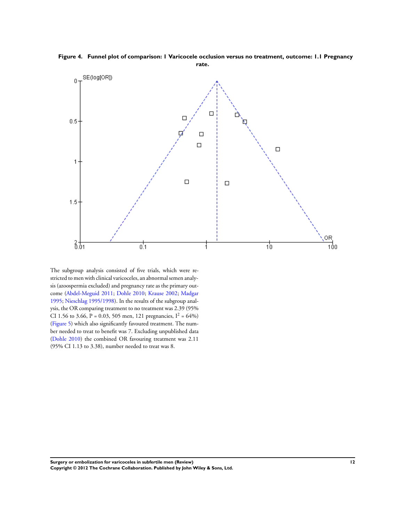

<span id="page-13-0"></span>**Figure 4. Funnel plot of comparison: 1 Varicocele occlusion versus no treatment, outcome: 1.1 Pregnancy rate.**

The subgroup analysis consisted of five trials, which were restricted to men with clinical varicoceles, an abnormal semen analysis (azoospermia excluded) and pregnancy rate as the primary outcome ([Abdel-Meguid 2011;](#page-16-0) [Dohle 2010](#page-16-0); [Krause 2002](#page-16-0); [Madgar](#page-16-0) [1995](#page-16-0); [Nieschlag 1995/1998](#page-16-0)). In the results of the subgroup analysis, the OR comparing treatment to no treatment was 2.39 (95% CI 1.56 to 3.66, P = 0.03, 505 men, 121 pregnancies,  $I^2 = 64\%$ ) [\(Figure 5\)](#page-14-0) which also significantly favoured treatment. The number needed to treat to benefit was 7. Excluding unpublished data [\(Dohle 2010](#page-16-0)) the combined OR favouring treatment was 2.11 (95% CI 1.13 to 3.38), number needed to treat was 8.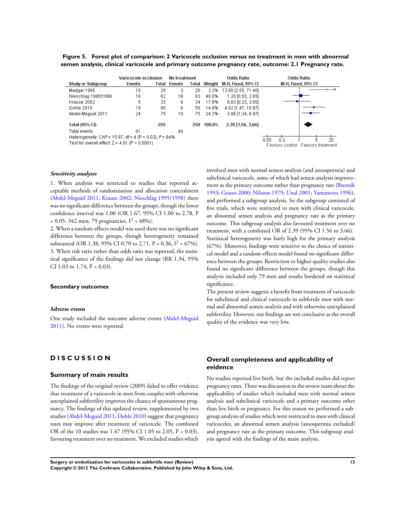### <span id="page-14-0"></span>**Figure 5. Forest plot of comparison: 2 Varicocele occlusion versus no treatment in men with abnormal semen analysis, clinical varicocele and primary outcome pregnancy rate, outcome: 2.1 Pregnancy rate.**

|                                                                         | Varicocele occlusion |       | No treatment |       |        | Odds Ratio                | <b>Odds Ratio</b>                 |
|-------------------------------------------------------------------------|----------------------|-------|--------------|-------|--------|---------------------------|-----------------------------------|
| Study or Subgroup                                                       | Events               | Total | Events       | Total |        | Weight M-H. Fixed, 95% CI | M-H. Fixed, 95% CI                |
| Madgar 1995                                                             | 15                   | 25    | 2            | 20    | 3.2%   | 13.50 [2.55, 71.40]       |                                   |
| Nieschlag 1995/1998                                                     | 18                   | 62    | 16           | 63    | 40.0%  | 1.20 10.55, 2.651         |                                   |
| Krause 2002                                                             | 5                    | 33    | 6            | 34    | 17.8%  | $0.83$ [0.23, 3.05]       |                                   |
| Dohle 2010                                                              | 19                   | 60    | 6            | 58    | 14.8%  | 4.02 [1.47, 10.97]        |                                   |
| Abdel-Mequid 2011                                                       | 24                   | 75    | 10           | 75.   | 24.2%  | 3.06 [1.34, 6.97]         |                                   |
| Total (95% CI)                                                          |                      | 255   |              | 250   | 100.0% | 2.39 [1.56, 3.66]         |                                   |
| Total events                                                            | 81                   |       | 40           |       |        |                           |                                   |
| Heterogeneity: Chi <sup>2</sup> = 10.97, df = 4 (P = 0.03); $I^2$ = 64% |                      |       |              |       |        |                           | 20<br>n'e<br>N N5                 |
| Test for overall effect: $Z = 4.01$ (P $\leq 0.0001$ )                  |                      |       |              |       |        |                           | Favours control Favours treatment |

#### *Sensitivity analyses*

1. When analysis was restricted to studies that reported acceptable methods of randomisation and allocation concealment [\(Abdel-Meguid 2011;](#page-16-0) [Krause 2002;](#page-16-0) [Nieschlag 1995/1998\)](#page-16-0) there was no significant difference between the groups, though the lower confidence interval was 1.00 (OR 1.67, 95% CI 1.00 to 2.78, P  $= 0.05, 342$  men, 79 pregnancies,  $I^2 = 48\%$ ).

2. When a random-effects model was used there was no significant difference between the groups, though heterogeneity remained substantial (OR 1.38, 95% CI 0.70 to 2.71, P = 0.36,  $I^2 = 67\%$ ). 3. When risk ratio rather than odds ratio was reported, the statistical significance of the findings did not change (RR 1.34, 95% CI 1.03 to 1.74,  $P = 0.03$ ).

### **Secondary outcomes**

#### **Adverse events**

One study included the outcome adverse events ([Abdel-Meguid](#page-16-0) [2011](#page-16-0)). No events were reported.

# **D I S C U S S I O N**

#### **Summary of main results**

The findings of the original review (2009) failed to offer evidence that treatment of a varicocele in men from couples with otherwise unexplained subfertility improves the chance of spontaneous pregnancy. The findings of this updated review, supplemented by two studies [\(Abdel-Meguid 2011](#page-16-0); [Dohle 2010](#page-16-0)) suggest that pregnancy rates may improve after treatment of varicocele. The combined OR of the 10 studies was 1.47 (95% CI 1.05 to 2.05, P < 0.03), favouring treatment over no treatment. We excluded studies which

involved men with normal semen analysis (and azoospermia) and subclinical varicocele, some of which had semen analysis improvement as the primary outcome rather than pregnancy rate ([Breznik](#page-16-0) [1993](#page-16-0); [Grasso 2000;](#page-16-0) [Nilsson 1979;](#page-16-0) [Unal 2001](#page-16-0); [Yamamoto 1996](#page-16-0)), and performed a subgroup analysis. So the subgroup consisted of five trials, which were restricted to men with clinical varicocele, an abnormal semen analysis and pregnancy rate as the primary outcome. This subgroup analysis also favoured treatment over no treatment, with a combined OR of 2.39 (95% CI 1.56 to 3.66). Statistical heterogeneity was fairly high for the primary analysis (67%). Moreover, findings were sensitive to the choice of statistical model and a random-effects model found no significant difference between the groups. Restriction to higher quality studies also found no significant difference between the groups, though this analysis included only 79 men and results bordered on statistical significance.

The present review suggests a benefit from treatment of varicocele for subclinical and clinical varicocele in subfertile men with normal and abnormal semen analysis and with otherwise unexplained subfertility. However, our findings are not conclusive as the overall quality of the evidence was very low.

# **Overall completeness and applicability of evidence**

No studies reported live birth, but the included studies did report pregnancy rates. There was discussion in the review team about the applicability of studies which included men with normal semen analysis and subclinical varicocele and a primary outcome other than live birth or pregnancy. For this reason we performed a subgroup analysis of studies which were restricted to men with clinical varicoceles, an abnormal semen analysis (azoospermia excluded) and pregnancy rate as the primary outcome. This subgroup analysis agreed with the findings of the main analysis.

**Surgery or embolization for varicoceles in subfertile men (Review) 13 Copyright © 2012 The Cochrane Collaboration. Published by John Wiley & Sons, Ltd.**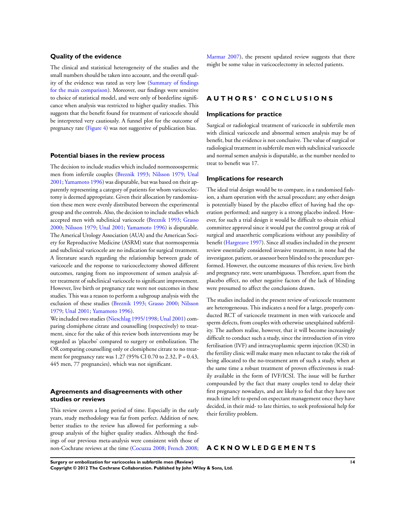### **Quality of the evidence**

The clinical and statistical heterogeneity of the studies and the small numbers should be taken into account, and the overall quality of the evidence was rated as very low ([Summary of findings](#page-4-0) [for the main comparison](#page-4-0)). Moreover, our findings were sensitive to choice of statistical model, and were only of borderline significance when analysis was restricted to higher quality studies. This suggests that the benefit found for treatment of varicocele should be interpreted very cautiously. A funnel plot for the outcome of pregnancy rate [\(Figure 4\)](#page-13-0) was not suggestive of publication bias.

#### **Potential biases in the review process**

The decision to include studies which included normozoospermic men from infertile couples ([Breznik 1993](#page-16-0); [Nilsson 1979;](#page-16-0) [Unal](#page-16-0) [2001](#page-16-0); [Yamamoto 1996](#page-16-0)) was disputable, but was based on their apparently representing a category of patients for whom varicocelectomy is deemed appropriate. Given their allocation by randomisation these men were evenly distributed between the experimental group and the controls. Also, the decision to include studies which accepted men with subclinical varicocele [\(Breznik 1993;](#page-16-0) [Grasso](#page-16-0) [2000](#page-16-0); [Nilsson 1979;](#page-16-0) [Unal 2001;](#page-16-0) [Yamamoto 1996](#page-16-0)) is disputable. The Americal Urology Association (AUA) and the American Society for Reproductive Medicine (ASRM) state that normospermia and subclinical varicocele are no indication for surgical treatment. A literature search regarding the relationship between grade of varicocele and the response to varicocelectomy showed different outcomes, ranging from no improvement of semen analysis after treatment of subclinical varicocele to significant improvement. However, live birth or pregnancy rate were not outcomes in these studies. This was a reason to perform a subgroup analysis with the exclusion of these studies ([Breznik 1993;](#page-16-0) [Grasso 2000;](#page-16-0) [Nilsson](#page-16-0) [1979](#page-16-0); [Unal 2001;](#page-16-0) [Yamamoto 1996](#page-16-0)).

We included two studies [\(Nieschlag 1995/1998](#page-16-0); [Unal 2001\)](#page-16-0) comparing clomiphene citrate and counselling (respectively) to treatment, since for the sake of this review both interventions may be regarded as 'placebo' compared to surgery or embolization. The OR comparing counselling only or clomiphene citrate to no treatment for pregnancy rate was 1.27 (95% CI 0.70 to 2.32, P = 0.43, 445 men, 77 pregnancies), which was not significant.

# **Agreements and disagreements with other studies or reviews**

This review covers a long period of time. Especially in the early years, study methodology was far from perfect. Addition of new, better studies to the review has allowed for performing a subgroup analysis of the higher quality studies. Although the findings of our previous meta-analysis were consistent with those of non-Cochrane reviews at the time [\(Cocuzza 2008;](#page-16-0) [French 2008;](#page-16-0)

[Marmar 2007](#page-16-0)), the present updated review suggests that there might be some value in varicocelectomy in selected patients.

# **A U T H O R S ' C O N C L U S I O N S**

#### **Implications for practice**

Surgical or radiological treatment of varicocele in subfertile men with clinical varicocele and abnormal semen analysis may be of benefit, but the evidence is not conclusive. The value of surgical or radiological treatment in subfertile men with subclinical varicocele and normal semen analysis is disputable, as the number needed to treat to benefit was 17.

### **Implications for research**

The ideal trial design would be to compare, in a randomised fashion, a sham operation with the actual procedure; any other design is potentially biased by the placebo effect of having had the operation performed; and surgery is a strong placebo indeed. However, for such a trial design it would be difficult to obtain ethical committee approval since it would put the control group at risk of surgical and anaesthetic complications without any possibility of benefit ([Hargreave 1997\)](#page-16-0). Since all studies included in the present review essentially considered invasive treatment, in none had the investigator, patient, or assessor been blinded to the procedure performed. However, the outcome measures of this review, live birth and pregnancy rate, were unambiguous. Therefore, apart from the placebo effect, no other negative factors of the lack of blinding were presumed to affect the conclusions drawn.

The studies included in the present review of varicocele treatment are heterogeneous. This indicates a need for a large, properly conducted RCT of varicocele treatment in men with varicocele and sperm defects, from couples with otherwise unexplained subfertility. The authors realise, however, that it will become increasingly difficult to conduct such a study, since the introduction of in vitro fertilisation (IVF) and intracytoplasmic sperm injection (ICSI) in the fertility clinic will make many men reluctant to take the risk of being allocated to the no-treatment arm of such a study, when at the same time a robust treatment of proven effectiveness is readily available in the form of IVF/ICSI. The issue will be further compounded by the fact that many couples tend to delay their first pregnancy nowadays, and are likely to feel that they have not much time left to spend on expectant management once they have decided, in their mid- to late thirties, to seek professional help for their fertility problem.

# **A C K N O W L E D G E M E N T S**

**Surgery or embolization for varicoceles in subfertile men (Review) 14 Copyright © 2012 The Cochrane Collaboration. Published by John Wiley & Sons, Ltd.**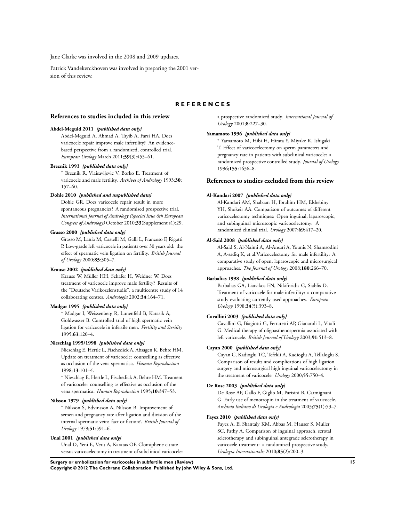<span id="page-16-0"></span>Jane Clarke was involved in the 2008 and 2009 updates.

Patrick Vandekerckhoven was involved in preparing the 2001 version of this review.

# **R E F E R E N C E S**

#### **References to studies included in this review**

#### **Abdel-Meguid 2011** *{published data only}*

Abdel-Meguid A, Ahmad A, Tayib A, Farsi HA. Does varicocele repair improve male infertility? An evidencebased perspective from a randomized, controlled trial. *European Urology* March 2011;**59**(3):455–61.

#### **Breznik 1993** *{published data only}*

<sup>∗</sup> Breznik R, Vlaisavljevic V, Borko E. Treatment of varicocele and male fertility. *Archives of Andrology* 1993;**30**: 157–60.

#### **Dohle 2010** *{published and unpublished data}*

Dohle GR. Does varicocele repair result in more spontaneous pregnancies? A randomised prospective trial. *International Journal of Andrology (Special Issue 6th European Congress of Andrology)* October 2010;**33**(Supplement s1):29.

#### **Grasso 2000** *{published data only}*

Grasso M, Lania M, Castelli M, Galli L, Franzoso F, Rigatti P. Low-grade left varicocele in patients over 30 years old: the effect of spermatic vein ligation on fertility. *British Journal of Urology* 2000;**85**:305–7.

### **Krause 2002** *{published data only}*

Krause W, Müller HH, Schäfer H, Weidner W. Does treatment of varicocele improve male fertility? Results of the "Deutsche Varikozelenstudie", a multicentre study of 14 collaborating centres. *Andrologia* 2002;**34**:164–71.

#### **Madgar 1995** *{published data only}*

<sup>∗</sup> Madgar I, Weissenberg R, Lunenfeld B, Karasik A, Goldwasser B. Controlled trial of high spermatic vein ligation for varicocele in infertile men. *Fertility and Sterility* 1995;**63**:120–4.

#### **Nieschlag 1995/1998** *{published data only}*

Nieschlag E, Hertle L, Fischedick A, Absagen K, Behre HM. Update on treatment of varicocele: counselling as effective as occlusion of the vena spermatica. *Human Reproduction* 1998;**13**:101–4.

<sup>∗</sup> Nieschlag E, Hertle L, Fischedick A, Behre HM. Treament of varicocele: counselling as effective as occlusion of the vena spermatica. *Human Reproduction* 1995;**10**:347–53.

#### **Nilsson 1979** *{published data only}*

<sup>∗</sup> Nilsson S, Edvinsson A, Nilsson B. Improvement of semen and pregnancy rate after ligation and division of the internal spermatic vein: fact or fiction?. *British Journal of Urology* 1979;**51**:591–6.

#### **Unal 2001** *{published data only}*

Unal D, Yeni E, Verit A, Karatas OF. Clomiphene citrate versus varicocelectomy in treatment of subclinical varicocele: a prospective randomized study. *International Journal of Urology* 2001;**8**:227–30.

#### **Yamamoto 1996** *{published data only}*

<sup>∗</sup> Yamamoto M, Hibi H, Hirata Y, Miyake K, Ishigaki T. Effect of varicocelectomy on sperm parameters and pregnancy rate in patients with subclinical varicocele: a randomized prospective controlled study. *Journal of Urology* 1996;**155**:1636–8.

#### **References to studies excluded from this review**

#### **Al-Kandari 2007** *{published data only}*

Al-Kandari AM, Shabaan H, Ibrahim HM, Elshebiny YH, Shokeir AA. Comparison of outcomes of different varicocelectomy techniques: Open inguinal, laparoscopic, and subinguinal microscopic varicocelectomy: A randomized clinical trial. *Urology* 2007;**69**:417–20.

#### **Al-Said 2008** *{published data only}*

Al-Said S, Al-Naimi A, Al-Ansari A, Younis N, Shamsodini A, A-sadiq K, et al.Varicocelectomy for male infertility: A comparative study of open, laparoscopic and microsurgical approaches. *The Journal of Urology* 2008;**180**:266–70.

#### **Barbalias 1998** *{published data only}*

Barbalias GA, Liatsikos EN, Nikiforidis G, Siablis D. Treatment of varicocele for male infertility: a comparative study evaluating currently used approaches. *European Urology* 1998;**34**(5):393–8.

#### **Cavallini 2003** *{published data only}*

Cavallini G, Biagiotti G, Ferraretti AP, Gianaroli L, Vitali G. Medical therapy of oligoasthenospermia associated with left varicocele. *British Journal of Urology* 2003;**91**:513–8.

#### **Cayan 2000** *{published data only}*

Cayan C, Kadioglu TC, Tefekli A, Kadioglu A, Tellaloglu S. Comparison of results and complications of high ligation surgery and microsurgical high inguinal varicocelectomy in the treatment of varicocele. *Urology* 2000;**55**:750–4.

### **De Rose 2003** *{published data only}*

De Rose AF, Gallo F, Giglio M, Parisini B, Carmignani G. Early use of menotropin in the treatment of varicocele. *Archivio Italiano di Urologia e Andrologia* 2003;**75**(1):53–7.

#### **Fayez 2010** *{published data only}*

Fayez A, El Shantaly KM, Abbas M, Hauser S, Muller SC, Fathy A. Comparison of inguinal approach, scrotal sclerotherapy and subinguinal antegrade sclerotherapy in varicocele treatment: a randomized prospective study. *Urologia Internationalis* 2010;**85**(2):200–3.

**Surgery or embolization for varicoceles in subfertile men (Review) 15**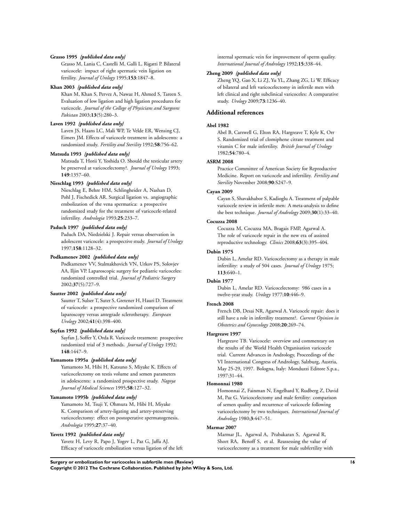#### **Grasso 1995** *{published data only}*

Grasso M, Lania C, Castelli M, Galli L, Rigatti P. Bilateral varicocele: impact of right spermatic vein ligation on fertility. *Journal of Urology* 1995;**153**:1847–8.

#### **Khan 2003** *{published data only}*

Khan M, Khan S, Pervez A, Nawaz H, Ahmed S, Tareen S. Evaluation of low ligation and high ligation procedures for varicocele. *Journal of the College of Physicians and Surgeons Pakistan* 2003;**13**(5):280–3.

### **Laven 1992** *{published data only}*

Laven JS, Haans LC, Mali WP, Te Velde ER, Wensing CJ, Eimers JM. Effects of varicocele treatment in adolescents: a randomized study. *Fertility and Sterility* 1992;**58**:756–62.

#### **Matsuda 1993** *{published data only}*

Matsuda T, Horii Y, Yoshida O. Should the testicular artery be preserved at varicocelectomy?. *Journal of Urology* 1993; **149**:1357–60.

#### **Nieschlag 1993** *{published data only}*

Nieschlag E, Behre HM, Schlingheider A, Nashan D, Pohl J, Fischedick AR. Surgical ligation vs. angiographic embolization of the vena spermatica: a prospective randomized study for the treatment of varicocele-related infertility. *Andrologia* 1993;**25**:233–7.

## **Paduch 1997** *{published data only}*

Paduch DA, Niedzielski J. Repair versus observation in adolescent varicocele: a prospective study. *Journal of Urology* 1997;**158**:1128–32.

#### **Podkamenev 2002** *{published data only}*

Podkamenev VV, Stalmakhovich VN, Urkov PS, Solovjev AA, Iljin VP. Laparoscopic surgery for pediatric varicoceles: randomized controlled trial. *Journal of Pediatric Surgery* 2002;**37**(5):727–9.

#### **Sautter 2002** *{published data only}*

Sautter T, Sulser T, Suter S, Gretener H, Hauri D. Treatment of varicocele: a prospective randomized comparison of laparoscopy versus antegrade sclerotherapy. *European Urology* 2002;**41**(4):398–400.

#### **Sayfan 1992** *{published data only}*

Sayfan J, Soffer Y, Orda R. Varicocele treatment: prospective randomized trial of 3 methods. *Journal of Urology* 1992; **148**:1447–9.

#### **Yamamoto 1995a** *{published data only}*

Yamamoto M, Hibi H, Katsuno S, Miyake K. Effects of varicocelectomy on testis volume and semen parameters in adolescents: a randomized prospective study. *Nagoya Journal of Medical Sciences* 1995;**58**:127–32.

#### **Yamamoto 1995b** *{published data only}*

Yamamoto M, Tsuji Y, Ohmura M, Hibi H, Miyake K. Comparison of artery-ligating and artery-preserving varicocelectomy: effect on postoperative spermatogenesis. *Andrologia* 1995;**27**:37–40.

#### **Yavetz 1992** *{published data only}*

Yavetz H, Levy R, Papo J, Yogev L, Paz G, Jaffa AJ. Efficacy of varicocele embolization versus ligation of the left internal spermatic vein for improvement of sperm quality. *International Journal of Andrology* 1992;**15**:338–44.

#### **Zheng 2009** *{published data only}*

Zheng YQ, Gao X, Li ZJ, Yu YL, Zhang ZG, Li W. Efficacy of bilateral and left varicocelectomy in infertile men with left clinical and right subclinical varicoceles: A comparative study. *Urology* 2009;**73**:1236–40.

#### **Additional references**

#### **Abel 1982**

Abel B, Carswell G, Elton RA, Hargreave T, Kyle K, Orr S. Randomized trial of clomiphene citrate treatment and vitamin C for male infertility. *British Journal of Urology* 1982;**54**:780–4.

#### **ASRM 2008**

Practice Committee of American Society for Reproductive Medicine. Report on varicocele and infertility. *Fertility and Sterility* November 2008;**90**:S247–9.

#### **Cayan 2009**

Cayan S, Shavakhabor S, Kadioglu A. Treatment of palpable varicocele review in infertile men: A meta-analysis to define the best technique. *Journal of Andrology* 2009;**30**(1):33–40.

#### **Cocuzza 2008**

Cocuzza M, Cocuzza MA, Bragais FMP, Agarwal A. The role of varicocele repair in the new era of assisted reproductive technology. *Clinics* 2008;**63**(3):395–404.

#### **Dubin 1975**

Dubin L, Amelar RD. Varicocelectomy as a therapy in male infertility: a study of 504 cases. *Journal of Urology* 1975; **113**:640–1.

### **Dubin 1977**

Dubin L, Amelar RD. Varicocelectomy: 986 cases in a twelve-year study. *Urology* 1977;**10**:446–9.

#### **French 2008**

French DB, Desai NR, Agarwal A. Varicocele repair: does it still have a role in infertility treatment?. *Current Opinion in Obstetrics and Gynecology* 2008;**20**:269–74.

#### **Hargreave 1997**

Hargreave TB. Varicocele: overview and commentary on the results of the World Health Organisation varicocele trial. Current Advances in Andrology, Proceedings of the VI International Congress of Andrology, Salzburg, Austria, May 25-29, 1997. Bologna, Italy: Monduzzi Editore S.p.a., 1997:31–44.

#### **Homonnai 1980**

Homonnai Z, Fainman N, Engelhard Y, Rudberg Z, David M, Paz G. Varicocelectomy and male fertility: comparison of semen quality and recurrence of varicocele following varicocelectomy by two techniques. *International Journal of Andrology* 1980;**3**:447–51.

#### **Marmar 2007**

Marmar JL, Agarwal A, Prabakaran S, Agarwal R, Short RA, Benoff S, et al. Reassessing the value of varicocelectomy as a treatment for male subfertility with

**Surgery or embolization for varicoceles in subfertile men (Review) 16**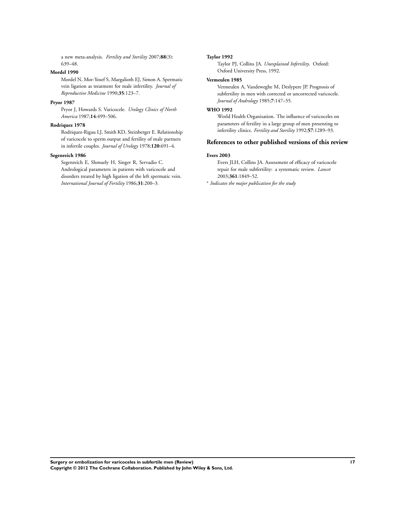a new meta-analysis. *Fertility and Sterility* 2007;**88**(3): 639–48.

#### **Mordel 1990**

Mordel N, Mor-Yosef S, Margalioth EJ, Simon A. Spermatic vein ligation as treatment for male infertility. *Journal of Reproductive Medicine* 1990;**35**:123–7.

### **Pryor 1987**

Pryor J, Howards S. Varicocele. *Urology Clinics of North America* 1987;**14**:499–506.

# **Rodriquez 1978**

Rodriquez-Rigau LJ, Smith KD, Steinberger E. Relationship of varicocele to sperm output and fertility of male partners in infertile couples. *Journal of Urology* 1978;**120**:691–4.

### **Segenreich 1986**

Segenreich E, Shmuely H, Singer R, Servadio C. Andrological parameters in patients with varicocele and disorders treated by high ligation of the left spermatic vein. *International Journal of Fertility* 1986;**31**:200–3.

#### **Taylor 1992**

Taylor PJ, Collins JA. *Unexplained Infertility*. Oxford: Oxford University Press, 1992.

#### **Vermeulen 1985**

Vermeulen A, Vandeweghe M, Deslypere JP. Prognosis of subfertility in men with corrected or uncorrected varicocele. *Journal of Andrology* 1985;**7**:147–55.

### **WHO 1992**

World Health Organisation. The influence of varicoceles on parameters of fertility in a large group of men presenting to infertility clinics. *Fertility and Sterility* 1992;**57**:1289–93.

### **References to other published versions of this review**

#### **Evers 2003**

Evers JLH, Collins JA. Assessment of efficacy of varicocele repair for male subfertility: a systematic review. *Lancet* 2003;**361**:1849–52.

∗ *Indicates the major publication for the study*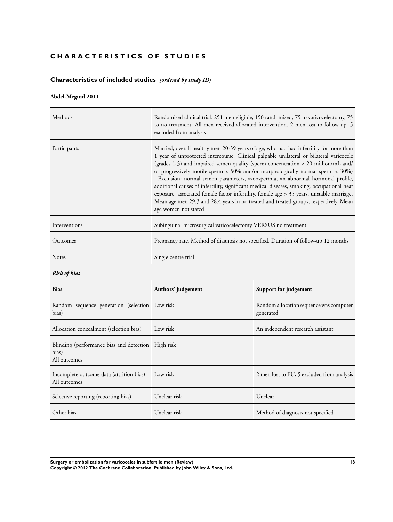# <span id="page-19-0"></span>**CHARACTERISTICS OF STUDIES**

# **Characteristics of included studies** *[ordered by study ID]*

# **Abdel-Meguid 2011**

| Methods                                                                     | Randomised clinical trial. 251 men eligible, 150 randomised, 75 to varicocelectomy, 75<br>to no treatment. All men received allocated intervention. 2 men lost to follow-up. 5<br>excluded from analysis                                                                                                                                                                                                                                                                                                                                                                                                                                                                                                                                                 |                                                      |  |  |
|-----------------------------------------------------------------------------|----------------------------------------------------------------------------------------------------------------------------------------------------------------------------------------------------------------------------------------------------------------------------------------------------------------------------------------------------------------------------------------------------------------------------------------------------------------------------------------------------------------------------------------------------------------------------------------------------------------------------------------------------------------------------------------------------------------------------------------------------------|------------------------------------------------------|--|--|
| Participants                                                                | Married, overall healthy men 20-39 years of age, who had had infertility for more than<br>1 year of unprotected intercourse. Clinical palpable unilateral or bilateral varicocele<br>(grades 1-3) and impaired semen quality (sperm concentration < 20 million/mL and/<br>or progressively motile sperm < 50% and/or morphologically normal sperm < 30%)<br>. Exclusion: normal semen parameters, azoospermia, an abnormal hormonal profile,<br>additional causes of infertility, significant medical diseases, smoking, occupational heat<br>exposure, associated female factor infertility, female age > 35 years, unstable marriage.<br>Mean age men 29.3 and 28.4 years in no treated and treated groups, respectively. Mean<br>age women not stated |                                                      |  |  |
| Interventions                                                               | Subinguinal microsurgical varicocelectomy VERSUS no treatment                                                                                                                                                                                                                                                                                                                                                                                                                                                                                                                                                                                                                                                                                            |                                                      |  |  |
| Outcomes                                                                    | Pregnancy rate. Method of diagnosis not specified. Duration of follow-up 12 months                                                                                                                                                                                                                                                                                                                                                                                                                                                                                                                                                                                                                                                                       |                                                      |  |  |
| Notes                                                                       | Single centre trial                                                                                                                                                                                                                                                                                                                                                                                                                                                                                                                                                                                                                                                                                                                                      |                                                      |  |  |
| Risk of bias                                                                |                                                                                                                                                                                                                                                                                                                                                                                                                                                                                                                                                                                                                                                                                                                                                          |                                                      |  |  |
| <b>Bias</b>                                                                 | Authors' judgement                                                                                                                                                                                                                                                                                                                                                                                                                                                                                                                                                                                                                                                                                                                                       | Support for judgement                                |  |  |
| Random sequence generation (selection Low risk<br>bias)                     |                                                                                                                                                                                                                                                                                                                                                                                                                                                                                                                                                                                                                                                                                                                                                          | Random allocation sequence was computer<br>generated |  |  |
| Allocation concealment (selection bias)                                     | Low risk                                                                                                                                                                                                                                                                                                                                                                                                                                                                                                                                                                                                                                                                                                                                                 | An independent research assistant                    |  |  |
| Blinding (performance bias and detection High risk<br>bias)<br>All outcomes |                                                                                                                                                                                                                                                                                                                                                                                                                                                                                                                                                                                                                                                                                                                                                          |                                                      |  |  |
| Incomplete outcome data (attrition bias)<br>All outcomes                    | Low risk                                                                                                                                                                                                                                                                                                                                                                                                                                                                                                                                                                                                                                                                                                                                                 | 2 men lost to FU, 5 excluded from analysis           |  |  |
| Selective reporting (reporting bias)                                        | Unclear risk                                                                                                                                                                                                                                                                                                                                                                                                                                                                                                                                                                                                                                                                                                                                             | Unclear                                              |  |  |
| Other bias                                                                  | Unclear risk                                                                                                                                                                                                                                                                                                                                                                                                                                                                                                                                                                                                                                                                                                                                             | Method of diagnosis not specified                    |  |  |

**Surgery or embolization for varicoceles in subfertile men (Review) 18**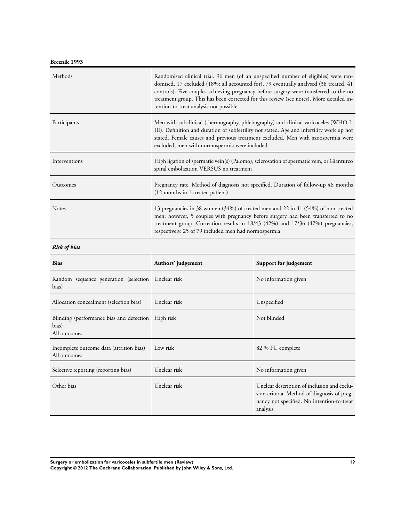**Breznik 1993**

| Methods       | Randomised clinical trial. 96 men (of an unspecified number of eligibles) were ran-<br>domised, 17 excluded (18%; all accounted for), 79 eventually analysed (38 treated, 41<br>controls). Five couples achieving pregnancy before surgery were transferred to the no<br>treatment group. This has been corrected for this review (see notes). More detailed in-<br>tention-to-treat analysis not possible |
|---------------|------------------------------------------------------------------------------------------------------------------------------------------------------------------------------------------------------------------------------------------------------------------------------------------------------------------------------------------------------------------------------------------------------------|
| Participants  | Men with subclinical (thermography, phlebography) and clinical varicoceles (WHO I-<br>III). Definition and duration of subfertility not stated. Age and infertility work up not<br>stated. Female causes and previous treatment excluded. Men with azoospermia were<br>excluded, men with normospermia were included                                                                                       |
| Interventions | High ligation of spermatic vein(s) (Palomo), sclerosation of spermatic vein, or Gianturco<br>spiral embolization VERSUS no treatment                                                                                                                                                                                                                                                                       |
| Outcomes      | Pregnancy rate. Method of diagnosis not specified. Duration of follow-up 48 months<br>(12 months in 1 treated patient)                                                                                                                                                                                                                                                                                     |
| <b>Notes</b>  | 13 pregnancies in 38 women (34%) of treated men and 22 in 41 (54%) of non-treated<br>men; however, 5 couples with pregnancy before surgery had been transferred to no<br>treatment group. Correction results in $18/43$ (42%) and $17/36$ (47%) pregnancies,<br>respectively. 25 of 79 included men had normospermia                                                                                       |

*Risk of bias*

| <b>Bias</b>                                                                 | Authors' judgement | Support for judgement                                                                                                                                |
|-----------------------------------------------------------------------------|--------------------|------------------------------------------------------------------------------------------------------------------------------------------------------|
| Random sequence generation (selection Unclear risk<br>bias)                 |                    | No information given                                                                                                                                 |
| Allocation concealment (selection bias)                                     | Unclear risk       | Unspecified                                                                                                                                          |
| Blinding (performance bias and detection High risk<br>bias)<br>All outcomes |                    | Not blinded                                                                                                                                          |
| Incomplete outcome data (attrition bias)<br>All outcomes                    | Low risk           | 82 % FU complete                                                                                                                                     |
| Selective reporting (reporting bias)                                        | Unclear risk       | No information given                                                                                                                                 |
| Other bias                                                                  | Unclear risk       | Unclear description of inclusion and exclu-<br>sion criteria. Method of diagnosis of preg-<br>nancy not specified. No intention-to-treat<br>analysis |

**Surgery or embolization for varicoceles in subfertile men (Review) 19 Copyright © 2012 The Cochrane Collaboration. Published by John Wiley & Sons, Ltd.**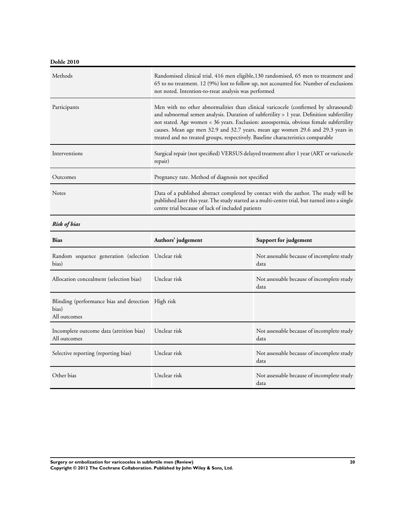**Dohle 2010**

| Methods       | Randomised clinical trial. 416 men eligible, 130 randomised, 65 men to treatment and<br>65 to no treatment. 12 (9%) lost to follow up, not accounted for. Number of exclusions<br>not noted. Intention-to-treat analysis was performed                                                                                                                                                                                                           |
|---------------|--------------------------------------------------------------------------------------------------------------------------------------------------------------------------------------------------------------------------------------------------------------------------------------------------------------------------------------------------------------------------------------------------------------------------------------------------|
| Participants  | Men with no other abnormalities than clinical varicocele (confirmed by ultrasound)<br>and subnormal semen analysis. Duration of subfertility $> 1$ year. Definition subfertility<br>not stated. Age women < 36 years. Exclusion: azoospermia, obvious female subfertility<br>causes. Mean age men 32.9 and 32.7 years, mean age women 29.6 and 29.3 years in<br>treated and no treated groups, respectively. Baseline characteristics comparable |
| Interventions | Surgical repair (not specified) VERSUS delayed treatment after 1 year (ART or varicocele<br>repair)                                                                                                                                                                                                                                                                                                                                              |
| Outcomes      | Pregnancy rate. Method of diagnosis not specified                                                                                                                                                                                                                                                                                                                                                                                                |
| <b>Notes</b>  | Data of a published abstract completed by contact with the author. The study will be<br>published later this year. The study started as a multi-centre trial, but turned into a single<br>centre trial because of lack of included patients                                                                                                                                                                                                      |

# *Risk of bias*

| <b>Bias</b>                                                                 | Authors' judgement | Support for judgement                              |
|-----------------------------------------------------------------------------|--------------------|----------------------------------------------------|
| Random sequence generation (selection Unclear risk<br>bias)                 |                    | Not assessable because of incomplete study<br>data |
| Allocation concealment (selection bias)                                     | Unclear risk       | Not assessable because of incomplete study<br>data |
| Blinding (performance bias and detection High risk<br>bias)<br>All outcomes |                    |                                                    |
| Incomplete outcome data (attrition bias)<br>All outcomes                    | Unclear risk       | Not assessable because of incomplete study<br>data |
| Selective reporting (reporting bias)                                        | Unclear risk       | Not assessable because of incomplete study<br>data |
| Other bias                                                                  | Unclear risk       | Not assessable because of incomplete study<br>data |

**Surgery or embolization for varicoceles in subfertile men (Review) 20 Copyright © 2012 The Cochrane Collaboration. Published by John Wiley & Sons, Ltd.**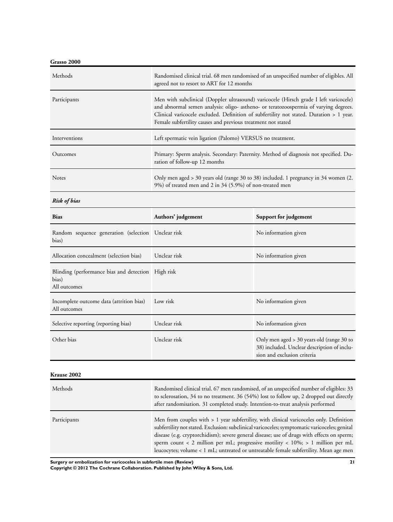**Grasso 2000**

| Methods       | Randomised clinical trial. 68 men randomised of an unspecified number of eligibles. All<br>agreed not to resort to ART for 12 months                                                                                                                                                                                                     |
|---------------|------------------------------------------------------------------------------------------------------------------------------------------------------------------------------------------------------------------------------------------------------------------------------------------------------------------------------------------|
| Participants  | Men with subclinical (Doppler ultrasound) varicocele (Hirsch grade I left varicocele)<br>and abnormal semen analysis: oligo- astheno- or teratozoospermia of varying degrees.<br>Clinical varicocele excluded. Definition of subfertility not stated. Duration > 1 year.<br>Female subfertility causes and previous treatment not stated |
| Interventions | Left spermatic vein ligation (Palomo) VERSUS no treatment.                                                                                                                                                                                                                                                                               |
| Outcomes      | Primary: Sperm analysis. Secondary: Paternity. Method of diagnosis not specified. Du-                                                                                                                                                                                                                                                    |
|               | ration of follow-up 12 months                                                                                                                                                                                                                                                                                                            |

# *Risk of bias*

| <b>Bias</b>                                                                 | Authors' judgement | Support for judgement                                                                                                   |
|-----------------------------------------------------------------------------|--------------------|-------------------------------------------------------------------------------------------------------------------------|
| Random sequence generation (selection Unclear risk<br>bias)                 |                    | No information given                                                                                                    |
| Allocation concealment (selection bias)                                     | Unclear risk       | No information given                                                                                                    |
| Blinding (performance bias and detection High risk<br>bias)<br>All outcomes |                    |                                                                                                                         |
| Incomplete outcome data (attrition bias)<br>All outcomes                    | Low risk           | No information given                                                                                                    |
| Selective reporting (reporting bias)                                        | Unclear risk       | No information given                                                                                                    |
| Other bias                                                                  | Unclear risk       | Only men aged > 30 years old (range 30 to<br>38) included. Unclear description of inclu-<br>sion and exclusion criteria |

# **Krause 2002**

| Methods      | Randomised clinical trial. 67 men randomised, of an unspecified number of eligibles: 33<br>to sclerosation, 34 to no treatment. 36 (54%) lost to follow up, 2 dropped out directly<br>after randomisation. 31 completed study. Intention-to-treat analysis performed                                                                                                                                                                                                    |
|--------------|-------------------------------------------------------------------------------------------------------------------------------------------------------------------------------------------------------------------------------------------------------------------------------------------------------------------------------------------------------------------------------------------------------------------------------------------------------------------------|
| Participants | Men from couples with $> 1$ year subfertility, with clinical varicoceles only. Definition<br>subfertility not stated. Exclusion: subclinical varicoceles; symptomatic varicoceles; genital<br>disease (e.g. cryptorchidism); severe general disease; use of drugs with effects on sperm;<br>sperm count < 2 million per mL; progressive motility < $10\%$ ; > 1 million per mL<br>leucocytes; volume < 1 mL; untreated or untreatable female subfertility. Mean age men |

**Surgery or embolization for varicoceles in subfertile men (Review) 21**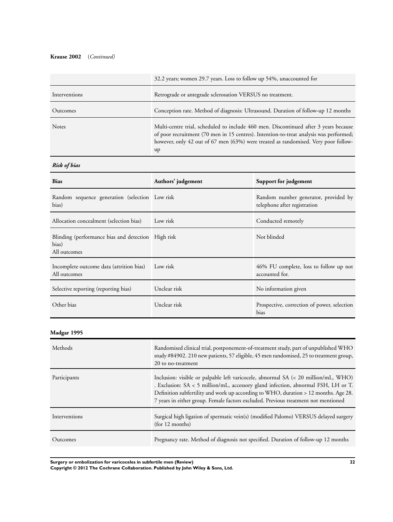# **Krause 2002** (*Continued)*

|               | 32.2 years; women 29.7 years. Loss to follow up 54%, unaccounted for                                                                                                                                                                                                       |
|---------------|----------------------------------------------------------------------------------------------------------------------------------------------------------------------------------------------------------------------------------------------------------------------------|
| Interventions | Retrograde or antegrade sclerosation VERSUS no treatment.                                                                                                                                                                                                                  |
| Outcomes      | Conception rate. Method of diagnosis: Ultrasound. Duration of follow-up 12 months                                                                                                                                                                                          |
| <b>Notes</b>  | Multi-centre trial, scheduled to include 460 men. Discontinued after 3 years because<br>of poor recruitment (70 men in 15 centres). Intention-to-treat analysis was performed;<br>however, only 42 out of 67 men (63%) were treated as randomised. Very poor follow-<br>up |

# *Risk of bias*

| <b>Bias</b>                                                                 | Authors' judgement | Support for judgement                                                |
|-----------------------------------------------------------------------------|--------------------|----------------------------------------------------------------------|
| Random sequence generation (selection Low risk<br>bias)                     |                    | Random number generator, provided by<br>telephone after registration |
| Allocation concealment (selection bias)                                     | Low risk           | Conducted remotely                                                   |
| Blinding (performance bias and detection High risk<br>bias)<br>All outcomes |                    | Not blinded                                                          |
| Incomplete outcome data (attrition bias)<br>All outcomes                    | Low risk           | 46% FU complete, loss to follow up not<br>accounted for.             |
| Selective reporting (reporting bias)                                        | Unclear risk       | No information given                                                 |
| Other bias                                                                  | Unclear risk       | Prospective, correction of power, selection<br>bias                  |

# **Madgar 1995**

| Methods       | Randomised clinical trial, postponement-of-treatment study, part of unpublished WHO<br>study #84902. 210 new patients, 57 eligible, 45 men randomised, 25 to treatment group,<br>20 to no-treatment                                                                                                                                                  |
|---------------|------------------------------------------------------------------------------------------------------------------------------------------------------------------------------------------------------------------------------------------------------------------------------------------------------------------------------------------------------|
| Participants  | Inclusion: visible or palpable left varicocele, abnormal SA (< 20 million/mL, WHO)<br>. Exclusion: SA < 5 million/mL, accessory gland infection, abnormal FSH, LH or T.<br>Definition subfertility and work up according to WHO, duration > 12 months. Age 28.<br>7 years in either group. Female factors excluded. Previous treatment not mentioned |
| Interventions | Surgical high ligation of spermatic vein(s) (modified Palomo) VERSUS delayed surgery<br>(for 12 months)                                                                                                                                                                                                                                              |
| Outcomes      | Pregnancy rate. Method of diagnosis not specified. Duration of follow-up 12 months                                                                                                                                                                                                                                                                   |

**Surgery or embolization for varicoceles in subfertile men (Review) 22**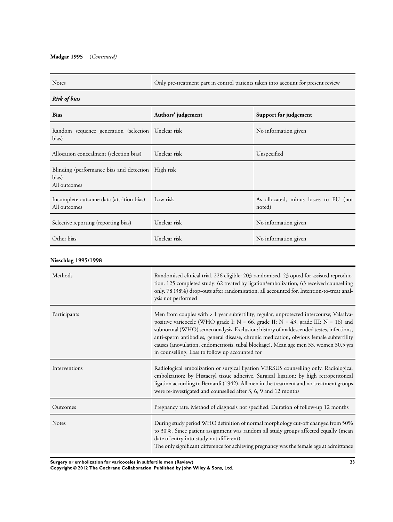Notes Only pre-treatment part in control patients taken into account for present review

# *Risk of bias*

| <b>Bias</b>                                                                 | Authors' judgement | Support for judgement                           |
|-----------------------------------------------------------------------------|--------------------|-------------------------------------------------|
| Random sequence generation (selection Unclear risk<br>bias)                 |                    | No information given                            |
| Allocation concealment (selection bias)                                     | Unclear risk       | Unspecified                                     |
| Blinding (performance bias and detection High risk<br>bias)<br>All outcomes |                    |                                                 |
| Incomplete outcome data (attrition bias)<br>All outcomes                    | Low risk           | As allocated, minus losses to FU (not<br>noted) |
| Selective reporting (reporting bias)                                        | Unclear risk       | No information given                            |
| Other bias                                                                  | Unclear risk       | No information given                            |

# **Nieschlag 1995/1998**

| Methods       | Randomised clinical trial. 226 eligible: 203 randomised, 23 opted for assisted reproduc-<br>tion. 125 completed study: 62 treated by ligation/embolization, 63 received counselling<br>only. 78 (38%) drop-outs after randomisation, all accounted for. Intention-to-treat anal-<br>ysis not performed                                                                                                                                                                                                                  |
|---------------|-------------------------------------------------------------------------------------------------------------------------------------------------------------------------------------------------------------------------------------------------------------------------------------------------------------------------------------------------------------------------------------------------------------------------------------------------------------------------------------------------------------------------|
| Participants  | Men from couples with > 1 year subfertility; regular, unprotected intercourse; Valsalva-<br>positive varicocele (WHO grade I: $N = 66$ , grade II: $N = 43$ , grade III: $N = 16$ ) and<br>subnormal (WHO) semen analysis. Exclusion: history of maldescended testes, infections,<br>anti-sperm antibodies, general disease, chronic medication, obvious female subfertility<br>causes (anovulation, endometriosis, tubal blockage). Mean age men 33, women 30.5 yrs<br>in counselling. Loss to follow up accounted for |
| Interventions | Radiological embolization or surgical ligation VERSUS counselling only. Radiological<br>embolization: by Histacryl tissue adhesive. Surgical ligation: by high retroperitoneal<br>ligation according to Bernardi (1942). All men in the treatment and no-treatment groups<br>were re-investigated and counselled after 3, 6, 9 and 12 months                                                                                                                                                                            |
| Outcomes      | Pregnancy rate. Method of diagnosis not specified. Duration of follow-up 12 months                                                                                                                                                                                                                                                                                                                                                                                                                                      |
| <b>Notes</b>  | During study period WHO definition of normal morphology cut-off changed from 50%<br>to 30%. Since patient assignment was random all study groups affected equally (mean<br>date of entry into study not different)<br>The only significant difference for achieving pregnancy was the female age at admittance                                                                                                                                                                                                          |

**Surgery or embolization for varicoceles in subfertile men (Review) 23**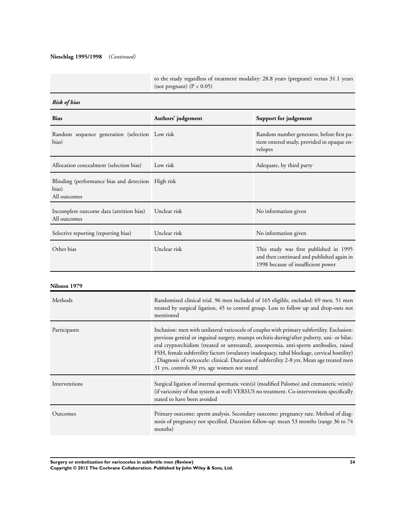# **Nieschlag 1995/1998** (*Continued)*

to the study regardless of treatment modality: 28.8 years (pregnant) versus 31.1 years (not pregnant)  $(P < 0.05)$ 

# *Risk of bias*

| <b>Bias</b>                                                                 | Authors' judgement | Support for judgement                                                                                                     |
|-----------------------------------------------------------------------------|--------------------|---------------------------------------------------------------------------------------------------------------------------|
| Random sequence generation (selection Low risk<br>bias)                     |                    | Random number generator, before first pa-<br>tient entered study, provided in opaque en-<br>velopes                       |
| Allocation concealment (selection bias)                                     | Low risk           | Adequate, by third party                                                                                                  |
| Blinding (performance bias and detection High risk<br>bias)<br>All outcomes |                    |                                                                                                                           |
| Incomplete outcome data (attrition bias)<br>All outcomes                    | Unclear risk       | No information given                                                                                                      |
| Selective reporting (reporting bias)                                        | Unclear risk       | No information given                                                                                                      |
| Other bias                                                                  | Unclear risk       | This study was first published in 1995<br>and then continued and published again in<br>1998 because of insufficient power |

# **Nilsson 1979**

| Methods       | Randomised clinical trial. 96 men included of 165 eligible, excluded: 69 men. 51 men<br>treated by surgical ligation, 45 to control group. Loss to follow up and drop-outs not<br>mentioned                                                                                                                                                                                                                                                                                                                                      |
|---------------|----------------------------------------------------------------------------------------------------------------------------------------------------------------------------------------------------------------------------------------------------------------------------------------------------------------------------------------------------------------------------------------------------------------------------------------------------------------------------------------------------------------------------------|
| Participants  | Inclusion: men with unilateral varicocele of couples with primary subfertility. Exclusion:<br>previous genital or inguinal surgery, mumps orchitis during/after puberty, uni- or bilat-<br>eral cryptorchidism (treated or untreated), azoospermia, anti-sperm antibodies, raised<br>FSH, female subfertility factors (ovulatory inadequacy, tubal blockage, cervical hostility)<br>. Diagnosis of varicocele: clinical. Duration of subfertility 2-8 yrs. Mean age treated men<br>31 yrs, controls 30 yrs, age women not stated |
| Interventions | Surgical ligation of internal spermatic vein(s) (modified Palomo) and cremasteric vein(s)<br>(if varicosity of that system as well) VERSUS no treatment. Co-interventions specifically<br>stated to have been avoided                                                                                                                                                                                                                                                                                                            |
| Outcomes      | Primary outcome: sperm analysis. Secondary outcome: pregnancy rate. Method of diag-<br>nosis of pregnancy not specified. Duration follow-up: mean 53 months (range 36 to 74<br>months)                                                                                                                                                                                                                                                                                                                                           |

**Surgery or embolization for varicoceles in subfertile men (Review) 24**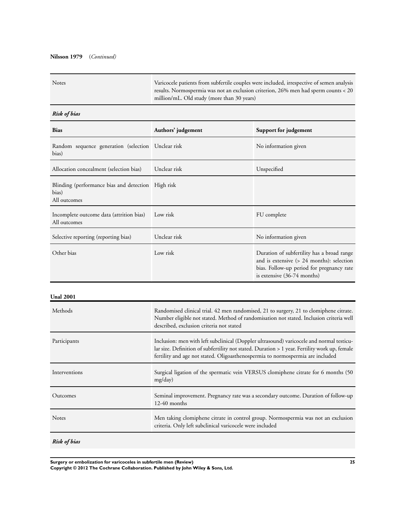# **Nilsson 1979** (*Continued)*

| <b>Notes</b> | Varicocele patients from subfertile couples were included, irrespective of semen analysis |
|--------------|-------------------------------------------------------------------------------------------|
|              | results. Normospermia was not an exclusion criterion, $26\%$ men had sperm counts $<$ 20  |
|              | million/mL. Old study (more than 30 years)                                                |

# *Risk of bias*

| <b>Bias</b>                                                                 | Authors' judgement | Support for judgement                                                                                                                                                 |
|-----------------------------------------------------------------------------|--------------------|-----------------------------------------------------------------------------------------------------------------------------------------------------------------------|
| Random sequence generation (selection Unclear risk<br>bias)                 |                    | No information given                                                                                                                                                  |
| Allocation concealment (selection bias)                                     | Unclear risk       | Unspecified                                                                                                                                                           |
| Blinding (performance bias and detection High risk<br>bias)<br>All outcomes |                    |                                                                                                                                                                       |
| Incomplete outcome data (attrition bias)<br>All outcomes                    | Low risk           | FU complete                                                                                                                                                           |
| Selective reporting (reporting bias)                                        | Unclear risk       | No information given                                                                                                                                                  |
| Other bias                                                                  | Low risk           | Duration of subfertility has a broad range<br>and is extensive $(> 24$ months): selection<br>bias. Follow-up period for pregnancy rate<br>is extensive (36-74 months) |

# **Unal 2001**

| Methods             | Randomised clinical trial. 42 men randomised, 21 to surgery, 21 to clomiphene citrate.<br>Number eligible not stated. Method of randomisation not stated. Inclusion criteria well<br>described, exclusion criteria not stated                                               |
|---------------------|-----------------------------------------------------------------------------------------------------------------------------------------------------------------------------------------------------------------------------------------------------------------------------|
| Participants        | Inclusion: men with left subclinical (Doppler ultrasound) varicocele and normal testicu-<br>lar size. Definition of subfertility not stated. Duration > 1 year. Fertility work up, female<br>fertility and age not stated. Oligoasthenospermia to normospermia are included |
| Interventions       | Surgical ligation of the spermatic vein VERSUS clomiphene citrate for 6 months (50)<br>mg/day)                                                                                                                                                                              |
| Outcomes            | Seminal improvement. Pregnancy rate was a secondary outcome. Duration of follow-up<br>$12-40$ months                                                                                                                                                                        |
| <b>Notes</b>        | Men taking clomiphene citrate in control group. Normospermia was not an exclusion<br>criteria. Only left subclinical varicocele were included                                                                                                                               |
| <b>Risk of bias</b> |                                                                                                                                                                                                                                                                             |

**Surgery or embolization for varicoceles in subfertile men (Review) 25**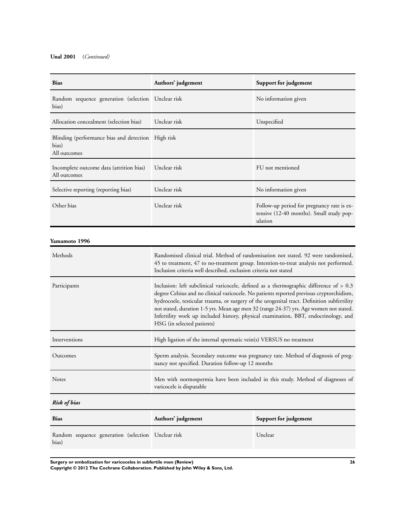| <b>Bias</b>                                                                 | Authors' judgement | Support for judgement                                                                             |
|-----------------------------------------------------------------------------|--------------------|---------------------------------------------------------------------------------------------------|
| Random sequence generation (selection Unclear risk<br>bias)                 |                    | No information given                                                                              |
| Allocation concealment (selection bias)                                     | Unclear risk       | Unspecified                                                                                       |
| Blinding (performance bias and detection High risk<br>bias)<br>All outcomes |                    |                                                                                                   |
| Incomplete outcome data (attrition bias)<br>All outcomes                    | Unclear risk       | FU not mentioned                                                                                  |
| Selective reporting (reporting bias)                                        | Unclear risk       | No information given                                                                              |
| Other bias                                                                  | Unclear risk       | Follow-up period for pregnancy rate is ex-<br>tensive (12-40 months). Small study pop-<br>ulation |

| Yamamoto 1996 |  |
|---------------|--|
|---------------|--|

| <b>Bias</b>         | Authors' judgement<br>Support for judgement                                                                                                                                                                                                                                                                                                                                                                                                                                                       |  |  |  |  |
|---------------------|---------------------------------------------------------------------------------------------------------------------------------------------------------------------------------------------------------------------------------------------------------------------------------------------------------------------------------------------------------------------------------------------------------------------------------------------------------------------------------------------------|--|--|--|--|
| <b>Risk of bias</b> |                                                                                                                                                                                                                                                                                                                                                                                                                                                                                                   |  |  |  |  |
| <b>Notes</b>        | Men with normospermia have been included in this study. Method of diagnoses of<br>varicocele is disputable                                                                                                                                                                                                                                                                                                                                                                                        |  |  |  |  |
| Outcomes            | Sperm analysis. Secondary outcome was pregnancy rate. Method of diagnosis of preg-<br>nancy not specified. Duration follow-up 12 months                                                                                                                                                                                                                                                                                                                                                           |  |  |  |  |
| Interventions       | High ligation of the internal spermatic vein(s) VERSUS no treatment                                                                                                                                                                                                                                                                                                                                                                                                                               |  |  |  |  |
| Participants        | Inclusion: left subclinical varicocele, defined as a thermographic difference of $> 0.3$<br>degree Celsius and no clinical varicocele. No patients reported previous cryptorchidism,<br>hydrocoele, testicular trauma, or surgery of the urogenital tract. Definition subfertility<br>not stated, duration 1-5 yrs. Mean age men 32 (range 24-37) yrs. Age women not stated.<br>Infertility work up included history, physical examination, BBT, endocrinology, and<br>HSG (in selected patients) |  |  |  |  |
| Methods             | Randomised clinical trial. Method of randomisation not stated. 92 were randomised,<br>45 to treatment, 47 to no-treatment group. Intention-to-treat analysis not performed.<br>Inclusion criteria well described, exclusion criteria not stated                                                                                                                                                                                                                                                   |  |  |  |  |

| --------                                                    |         |
|-------------------------------------------------------------|---------|
| Random sequence generation (selection Unclear risk<br>bias) | Unclear |

**Surgery or embolization for varicoceles in subfertile men (Review) 26**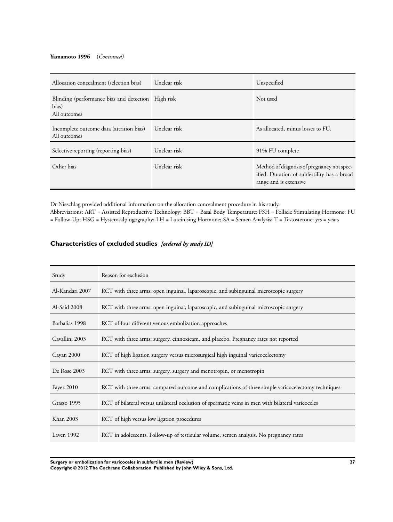#### <span id="page-28-0"></span>**Yamamoto 1996** (*Continued)*

| Allocation concealment (selection bias)                                     | Unclear risk | Unspecified                                                                                                         |
|-----------------------------------------------------------------------------|--------------|---------------------------------------------------------------------------------------------------------------------|
| Blinding (performance bias and detection High risk<br>bias)<br>All outcomes |              | Not used                                                                                                            |
| Incomplete outcome data (attrition bias)<br>All outcomes                    | Unclear risk | As allocated, minus losses to FU.                                                                                   |
| Selective reporting (reporting bias)                                        | Unclear risk | 91% FU complete                                                                                                     |
| Other bias                                                                  | Unclear risk | Method of diagnosis of pregnancy not spec-<br>ified. Duration of subfertility has a broad<br>range and is extensive |

Dr Nieschlag provided additional information on the allocation concealment procedure in his study. Abbreviations: ART = Assisted Reproductive Technology; BBT = Basal Body Temperature; FSH = Follicle Stimulating Hormone; FU = Follow-Up; HSG = Hysterosalpingography; LH = Luteinising Hormone; SA = Semen Analysis; T = Testosterone; yrs = years

# **Characteristics of excluded studies** *[ordered by study ID]*

| Study           | Reason for exclusion                                                                               |
|-----------------|----------------------------------------------------------------------------------------------------|
| Al-Kandari 2007 | RCT with three arms: open inguinal, laparoscopic, and subinguinal microscopic surgery              |
| Al-Said 2008    | RCT with three arms: open inguinal, laparoscopic, and subinguinal microscopic surgery              |
| Barbalias 1998  | RCT of four different venous embolization approaches                                               |
| Cavallini 2003  | RCT with three arms: surgery, cinnoxicam, and placebo. Pregnancy rates not reported                |
| Cayan 2000      | RCT of high ligation surgery versus microsurgical high inguinal varicocelectomy                    |
| De Rose 2003    | RCT with three arms: surgery, surgery and menotropin, or menotropin                                |
| Fayez 2010      | RCT with three arms: compared outcome and complications of three simple varicocelectomy techniques |
| Grasso 1995     | RCT of bilateral versus unilateral occlusion of spermatic veins in men with bilateral varicoceles  |
| Khan 2003       | RCT of high versus low ligation procedures                                                         |
| Laven 1992      | RCT in adolescents. Follow-up of testicular volume, semen analysis. No pregnancy rates             |

**Surgery or embolization for varicoceles in subfertile men (Review) 27 Copyright © 2012 The Cochrane Collaboration. Published by John Wiley & Sons, Ltd.**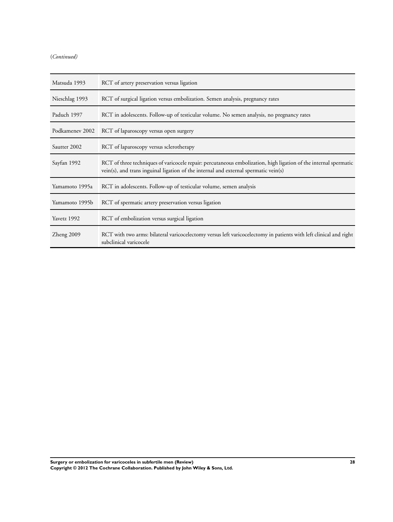# (*Continued)*

| Matsuda 1993    | RCT of artery preservation versus ligation                                                                                                                                                                 |
|-----------------|------------------------------------------------------------------------------------------------------------------------------------------------------------------------------------------------------------|
| Nieschlag 1993  | RCT of surgical ligation versus embolization. Semen analysis, pregnancy rates                                                                                                                              |
| Paduch 1997     | RCT in adolescents. Follow-up of testicular volume. No semen analysis, no pregnancy rates                                                                                                                  |
| Podkamenev 2002 | RCT of laparoscopy versus open surgery                                                                                                                                                                     |
| Sautter 2002    | RCT of laparoscopy versus sclerotherapy                                                                                                                                                                    |
| Sayfan 1992     | RCT of three techniques of varicocele repair: percutaneous embolization, high ligation of the internal spermatic<br>$vein(s)$ , and trans inguinal ligation of the internal and external spermatic vein(s) |
| Yamamoto 1995a  | RCT in adolescents. Follow-up of testicular volume, semen analysis                                                                                                                                         |
| Yamamoto 1995b  | RCT of spermatic artery preservation versus ligation                                                                                                                                                       |
| Yavetz 1992     | RCT of embolization versus surgical ligation                                                                                                                                                               |
| Zheng 2009      | RCT with two arms: bilateral varicocelectomy versus left varicocelectomy in patients with left clinical and right<br>subclinical varicocele                                                                |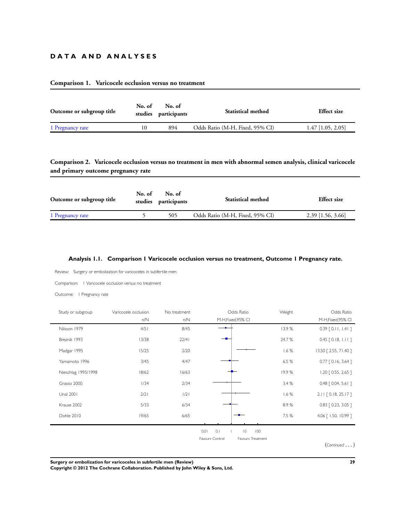# **D A T A A N D A N A L Y S E S**

### **Comparison 1. Varicocele occlusion versus no treatment**

| Outcome or subgroup title | No. of | No. of<br>studies participants | <b>Statistical method</b>       | <b>Effect</b> size  |
|---------------------------|--------|--------------------------------|---------------------------------|---------------------|
| 1 Pregnancy rate          | 10     | 894                            | Odds Ratio (M-H, Fixed, 95% CI) | $1.47$ [1.05, 2.05] |

# **Comparison 2. Varicocele occlusion versus no treatment in men with abnormal semen analysis, clinical varicocele and primary outcome pregnancy rate**

| Outcome or subgroup title | No. of | No. of<br>studies participants | <b>Statistical method</b>       | <b>Effect</b> size  |
|---------------------------|--------|--------------------------------|---------------------------------|---------------------|
| 1 Pregnancy rate          |        | 505                            | Odds Ratio (M-H, Fixed, 95% CI) | $2.39$ [1.56, 3.66] |

# **Analysis 1.1. Comparison 1 Varicocele occlusion versus no treatment, Outcome 1 Pregnancy rate.**

Review: Surgery or embolization for varicoceles in subfertile men

Comparison: 1 Varicocele occlusion versus no treatment

Outcome: 1 Pregnancy rate

| Study or subgroup   | Varicocele occlusion | No treatment | Odds Ratio                           | Weight | Odds Ratio            |
|---------------------|----------------------|--------------|--------------------------------------|--------|-----------------------|
|                     | n/N                  | n/N          | M-H, Fixed, 95% CI                   |        | M-H, Fixed, 95% CI    |
| Nilsson 1979        | 4/5                  | 8/45         |                                      | 13.9%  | $0.39$ $[0.11, 1.41]$ |
| Breznik 1993        | 13/38                | 22/41        |                                      | 24.7 % | $0.45$ $[0.18, 1.11]$ |
| Madgar 1995         | 15/25                | 2/20         |                                      | 1.6%   | 13.50 [ 2.55, 71.40 ] |
| Yamamoto 1996       | 3/45                 | 4/47         |                                      | 6.5 %  | $0.77$ $[0.16, 3.64]$ |
| Nieschlag 1995/1998 | 18/62                | 16/63        |                                      | 19.9%  | $1.20$ $[0.55, 2.65]$ |
| Grasso 2000         | 1/34                 | 2/34         |                                      | 3.4 %  | $0.48$ $[0.04, 5.61]$ |
| <b>Unal 2001</b>    | 2/2                  | 1/2          |                                      | 1.6%   | 2.11 [0.18, 25.17]    |
| Krause 2002         | 5/33                 | 6/34         |                                      | 8.9%   | $0.83$ $[0.23, 3.05]$ |
| Dohle 2010          | 19/65                | 6/65         |                                      | 7.5 %  | 4.06 [ 1.50, 10.99 ]  |
|                     |                      |              |                                      |        |                       |
|                     |                      |              | 0.1<br>0.01<br>$\overline{0}$<br>100 |        |                       |
|                     |                      |              | Favours Control<br>Favours Treatment |        |                       |
|                     |                      |              |                                      |        | $(Continued \dots)$   |

**Surgery or embolization for varicoceles in subfertile men (Review) 29**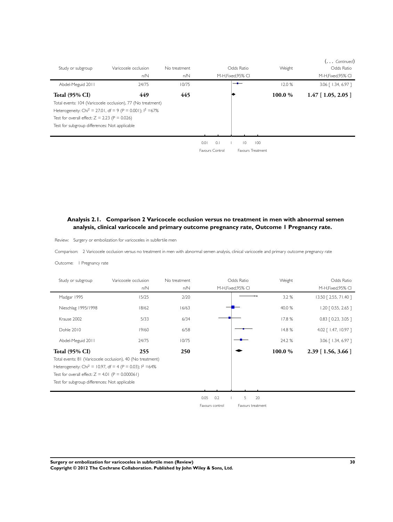<span id="page-31-0"></span>

| Study or subgroup                               | Varicocele occlusion<br>n/N                                              | No treatment<br>n/N |                 |     | Odds Ratio<br>M-H,Fixed,95% CI | Weight | $(\ldots$ Continued)<br>Odds Ratio<br>M-H, Fixed, 95% CI |
|-------------------------------------------------|--------------------------------------------------------------------------|---------------------|-----------------|-----|--------------------------------|--------|----------------------------------------------------------|
| Abdel-Meguid 2011                               | 24/75                                                                    | 10/75               |                 |     | $-$                            | 12.0%  | 3.06 [ 1.34, 6.97 ]                                      |
| <b>Total (95% CI)</b>                           | 449                                                                      | 445                 |                 |     |                                | 100.0% | $1.47$ [ 1.05, 2.05 ]                                    |
|                                                 | Total events: 104 (Varicocele occlusion), 77 (No treatment)              |                     |                 |     |                                |        |                                                          |
|                                                 | Heterogeneity: Chi <sup>2</sup> = 27.01, df = 9 (P = 0.001); $1^2$ = 67% |                     |                 |     |                                |        |                                                          |
| Test for overall effect: $Z = 2.23$ (P = 0.026) |                                                                          |                     |                 |     |                                |        |                                                          |
| Test for subgroup differences: Not applicable   |                                                                          |                     |                 |     |                                |        |                                                          |
|                                                 |                                                                          |                     |                 |     |                                |        |                                                          |
|                                                 |                                                                          |                     | 0.01            | 0.1 | $\overline{0}$<br>100          |        |                                                          |
|                                                 |                                                                          |                     | Favours Control |     | Favours Treatment              |        |                                                          |

## **Analysis 2.1. Comparison 2 Varicocele occlusion versus no treatment in men with abnormal semen analysis, clinical varicocele and primary outcome pregnancy rate, Outcome 1 Pregnancy rate.**

Review: Surgery or embolization for varicoceles in subfertile men

Comparison: 2 Varicocele occlusion versus no treatment in men with abnormal semen analysis, clinical varicocele and primary outcome pregnancy rate

### Outcome: I Pregnancy rate

| Study or subgroup                                                                | Varicocele occlusion | No treatment |                 | Odds Ratio         |                   | Weight | Odds Ratio            |
|----------------------------------------------------------------------------------|----------------------|--------------|-----------------|--------------------|-------------------|--------|-----------------------|
|                                                                                  | n/N                  | n/N          |                 | M-H, Fixed, 95% CI |                   |        | M-H, Fixed, 95% CI    |
| Madgar 1995                                                                      | 15/25                | 2/20         |                 |                    |                   | 3.2%   | 13.50 [2.55, 71.40]   |
| Nieschlag 1995/1998                                                              | 18/62                | 16/63        |                 |                    |                   | 40.0 % | $1.20$ $[0.55, 2.65]$ |
| Krause 2002                                                                      | 5/33                 | 6/34         |                 |                    |                   | 17.8 % | $0.83$ $[0.23, 3.05]$ |
| Dohle 2010                                                                       | 19/60                | 6/58         |                 |                    |                   | 14.8 % | 4.02 [ 1.47, 10.97 ]  |
| Abdel-Meguid 2011                                                                | 24/75                | 10/75        |                 |                    |                   | 24.2 % | 3.06 [ 1.34, 6.97 ]   |
| <b>Total (95% CI)</b>                                                            | 255                  | <b>250</b>   |                 |                    |                   | 100.0% | $2.39$ [ 1.56, 3.66 ] |
| Total events: 81 (Varicocele occlusion), 40 (No treatment)                       |                      |              |                 |                    |                   |        |                       |
| Heterogeneity: Chi <sup>2</sup> = 10.97, df = 4 (P = 0.03); l <sup>2</sup> = 64% |                      |              |                 |                    |                   |        |                       |
| Test for overall effect: $Z = 4.01$ (P = 0.000061)                               |                      |              |                 |                    |                   |        |                       |
| Test for subgroup differences: Not applicable                                    |                      |              |                 |                    |                   |        |                       |
|                                                                                  |                      |              |                 |                    |                   |        |                       |
|                                                                                  |                      |              | 0.05<br>0.2     | 5                  | 20                |        |                       |
|                                                                                  |                      |              | Favours control |                    | Favours treatment |        |                       |

**Surgery or embolization for varicoceles in subfertile men (Review) 30 Copyright © 2012 The Cochrane Collaboration. Published by John Wiley & Sons, Ltd.**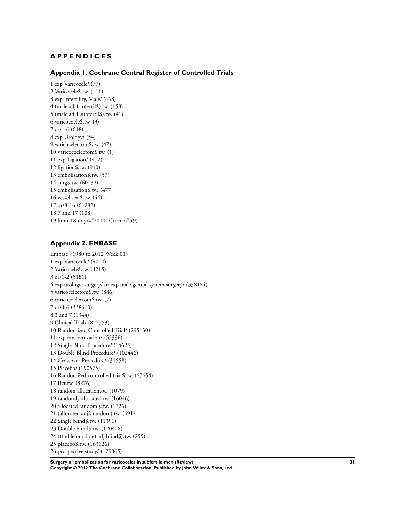# <span id="page-32-0"></span>**A P P E N D I C E S**

### **Appendix 1. Cochrane Central Register of Controlled Trials**

1 exp Varicocele/ (77) 2 Varicocele\$.tw. (111) 3 exp Infertility, Male/ (468) 4 (male adj1 infertil\$).tw. (158) 5 (male adj1 subfertil\$).tw. (41) 6 varicocoele\$.tw. (3) 7 or/1-6 (618) 8 exp Urology/ (54) 9 varicocelectom\$.tw. (47) 10 varicocoelectom\$.tw. (1) 11 exp Ligation/ (412) 12 ligation\$.tw. (910) 13 embolisation\$.tw. (57) 14 surg\$.tw. (60132) 15 embolization\$.tw. (477) 16 vessel seal\$.tw. (44) 17 or/8-16 (61282) 18 7 and 17 (108) 19 limit 18 to yr="2010 -Current" (9)

### **Appendix 2. EMBASE**

Embase <1980 to 2012 Week 01> 1 exp Varicocele/ (4700) 2 Varicocele\$.tw. (4215) 3 or/1-2 (5181) 4 exp urologic surgery/ or exp male genital system surgery/ (338184) 5 varicocelectom\$.tw. (886) 6 varicocoelectom\$.tw. (7) 7 or/4-6 (338610) 8 3 and 7 (1344) 9 Clinical Trial/ (822753) 10 Randomized Controlled Trial/ (295130) 11 exp randomization/ (55336) 12 Single Blind Procedure/ (14625) 13 Double Blind Procedure/ (102446) 14 Crossover Procedure/ (31558) 15 Placebo/ (190575) 16 Randomi?ed controlled trial\$.tw. (67654) 17 Rct.tw. (8276) 18 random allocation.tw. (1079) 19 randomly allocated.tw. (16046) 20 allocated randomly.tw. (1726) 21 (allocated adj2 random).tw. (691) 22 Single blind\$.tw. (11391) 23 Double blind\$.tw. (120428) 24 ((treble or triple) adj blind\$).tw. (255) 25 placebo\$.tw. (163626) 26 prospective study/ (179865)

**Surgery or embolization for varicoceles in subfertile men (Review) 31 Copyright © 2012 The Cochrane Collaboration. Published by John Wiley & Sons, Ltd.**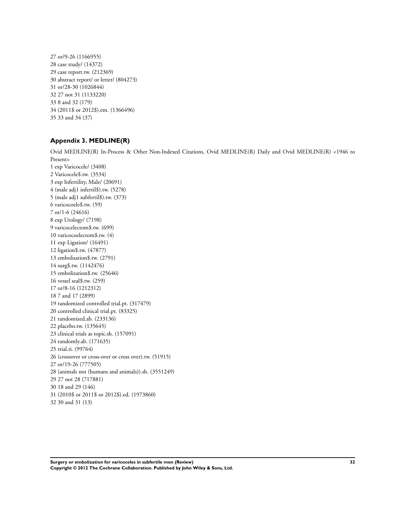<span id="page-33-0"></span>27 or/9-26 (1166955) 28 case study/ (14372) 29 case report.tw. (212369) 30 abstract report/ or letter/ (804273) 31 or/28-30 (1026844) 32 27 not 31 (1133220) 33 8 and 32 (179) 34 (2011\$ or 2012\$).em. (1366496) 35 33 and 34 (37)

# **Appendix 3. MEDLINE(R)**

Ovid MEDLINE(R) In-Process & Other Non-Indexed Citations, Ovid MEDLINE(R) Daily and Ovid MEDLINE(R) <1946 to Present> 1 exp Varicocele/ (3408) 2 Varicocele\$.tw. (3534) 3 exp Infertility, Male/ (20691) 4 (male adj1 infertil\$).tw. (5278) 5 (male adj1 subfertil\$).tw. (373) 6 varicocoele\$.tw. (59) 7 or/1-6 (24616) 8 exp Urology/ (7198) 9 varicocelectom\$.tw. (699) 10 varicocoelectom\$.tw. (4) 11 exp Ligation/ (16491) 12 ligation\$.tw. (47877) 13 embolisation\$.tw. (2791) 14 surg\$.tw. (1142476) 15 embolization\$.tw. (25646) 16 vessel seal\$.tw. (259) 17 or/8-16 (1212312) 18 7 and 17 (2899) 19 randomized controlled trial.pt. (317479) 20 controlled clinical trial.pt. (83325) 21 randomized.ab. (233136) 22 placebo.tw. (135645) 23 clinical trials as topic.sh. (157091) 24 randomly.ab. (171635) 25 trial.ti. (99764) 26 (crossover or cross-over or cross over).tw. (51915) 27 or/19-26 (777505) 28 (animals not (humans and animals)).sh. (3551249) 29 27 not 28 (717881) 30 18 and 29 (146) 31 (2010\$ or 2011\$ or 2012\$).ed. (1973860)

32 30 and 31 (13)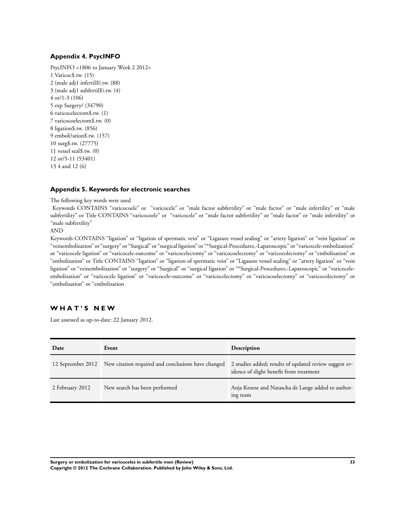# <span id="page-34-0"></span>**Appendix 4. PsycINFO**

PsycINFO <1806 to January Week 2 2012> 1 Varicoc\$.tw. (15) 2 (male adj1 infertil\$).tw. (88) 3 (male adj1 subfertil\$).tw. (4) 4 or/1-3 (106) 5 exp Surgery/ (34790) 6 varicocelectom\$.tw. (1) 7 varicocoelectom\$.tw. (0) 8 ligation\$.tw. (856) 9 emboli?ation\$.tw. (157) 10 surg\$.tw. (27775) 11 vessel seal\$.tw. (0) 12 or/5-11 (53401) 13 4 and 12 (6)

# **Appendix 5. Keywords for electronic searches**

#### The following key words were used

Keywords CONTAINS "varicocoele" or "varicocele" or "male factor subfertility" or "male factor" or "male infertility" or "male subfertility" or Title CONTAINS "varicocoele" or "varicocele" or "male factor subfertility" or "male factor" or "male infertility" or "male subfertility"

AND

Keywords CONTAINS "ligation" or "ligation of spermatic vein" or "Ligasure vessel sealing" or "artery ligation" or "vein ligation" or "veinembolization" or "surgery" or "Surgical" or "surgical ligation" or "\*Surgical-Procedures,-Laparoscopic" or "varicocele-embolization" or "varicocele ligation" or "varicocele-outcome" or "varicocelectomy" or "varicocoelectomy" or "varicocolectomy" or "embolisation" or "embolization" or Title CONTAINS "ligation" or "ligation of spermatic vein" or "Ligausre vessel sealing" or "artery ligation" or "vein ligation" or "veinembolization" or "surgery" or "Surgical" or "surgical ligation" or "\*Surgical-Procedures,-Laparoscopic" or "varicoceleembolization" or "varicocele ligation" or "varicocele-outcome" or "varicocelectomy" or "varicocoelectomy" or "varicocolectomy" or "embolisation" or "embolization

# **W H A T ' S N E W**

Last assessed as up-to-date: 22 January 2012.

| Date            | Event                                                                | Description                                                                                       |
|-----------------|----------------------------------------------------------------------|---------------------------------------------------------------------------------------------------|
|                 | 12 September 2012 New citation required and conclusions have changed | 2 studies added; results of updated review suggest ev-<br>idence of slight benefit from treatment |
| 2 February 2012 | New search has been performed                                        | Anja Kroese and Natascha de Lange added to author-<br>ing team                                    |

**Surgery or embolization for varicoceles in subfertile men (Review) 33**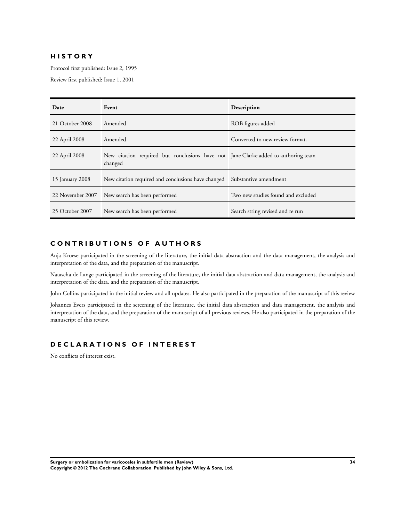# **H I S T O R Y**

Protocol first published: Issue 2, 1995

Review first published: Issue 1, 2001

| Date            | Event                                                                                         | Description                        |
|-----------------|-----------------------------------------------------------------------------------------------|------------------------------------|
| 21 October 2008 | Amended                                                                                       | ROB figures added                  |
| 22 April 2008   | Amended                                                                                       | Converted to new review format.    |
| 22 April 2008   | New citation required but conclusions have not Jane Clarke added to authoring team<br>changed |                                    |
| 15 January 2008 | New citation required and conclusions have changed Substantive amendment                      |                                    |
|                 | 22 November 2007 New search has been performed                                                | Two new studies found and excluded |
| 25 October 2007 | New search has been performed                                                                 | Search string revised and re run   |

# **C O N T R I B U T I O N S O F A U T H O R S**

Anja Kroese participated in the screening of the literature, the initial data abstraction and the data management, the analysis and interpretation of the data, and the preparation of the manuscript.

Natascha de Lange participated in the screening of the literature, the initial data abstraction and data management, the analysis and interpretation of the data, and the preparation of the manuscript.

John Collins participated in the initial review and all updates. He also participated in the preparation of the manuscript of this review

Johannes Evers participated in the screening of the literature, the initial data abstraction and data management, the analysis and interpretation of the data, and the preparation of the manuscript of all previous reviews. He also participated in the preparation of the manuscript of this review.

# **D E C L A R A T I O N S O F I N T E R E S T**

No conflicts of interest exist.